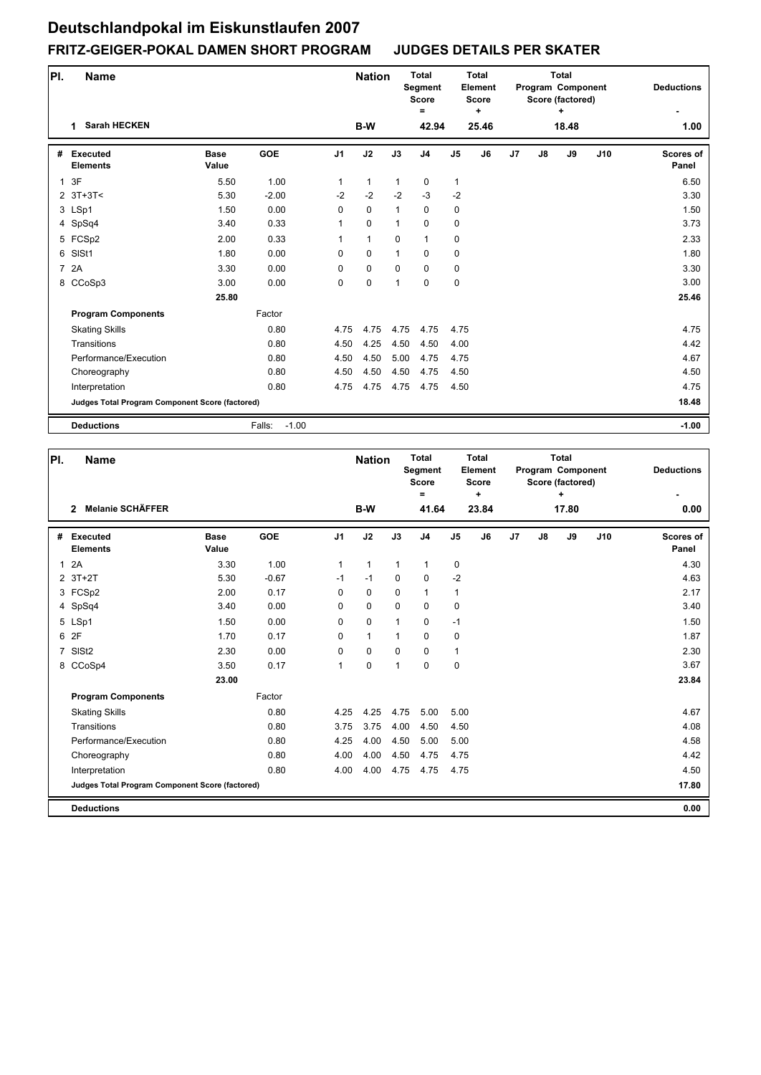| PI.          | <b>Name</b>                                     |                      |                   |                | <b>Nation</b> |              | <b>Total</b><br>Segment<br><b>Score</b><br>$=$ |              | <b>Total</b><br>Element<br><b>Score</b><br>٠ |    |               | <b>Total</b><br>Program Component<br>Score (factored)<br>+ |     | <b>Deductions</b>         |
|--------------|-------------------------------------------------|----------------------|-------------------|----------------|---------------|--------------|------------------------------------------------|--------------|----------------------------------------------|----|---------------|------------------------------------------------------------|-----|---------------------------|
|              | <b>Sarah HECKEN</b><br>1                        |                      |                   |                | B-W           |              | 42.94                                          |              | 25.46                                        |    |               | 18.48                                                      |     | 1.00                      |
| #            | <b>Executed</b><br><b>Elements</b>              | <b>Base</b><br>Value | <b>GOE</b>        | J <sub>1</sub> | J2            | J3           | J4                                             | J5           | J6                                           | J7 | $\mathsf{J}8$ | J9                                                         | J10 | <b>Scores of</b><br>Panel |
| $\mathbf{1}$ | 3F                                              | 5.50                 | 1.00              | 1              | $\mathbf{1}$  | $\mathbf{1}$ | $\pmb{0}$                                      | $\mathbf{1}$ |                                              |    |               |                                                            |     | 6.50                      |
|              | $2$ 3T+3T<                                      | 5.30                 | $-2.00$           | $-2$           | $-2$          | $-2$         | $-3$                                           | $-2$         |                                              |    |               |                                                            |     | 3.30                      |
|              | 3 LSp1                                          | 1.50                 | 0.00              | $\Omega$       | $\mathbf 0$   | 1            | $\mathbf 0$                                    | 0            |                                              |    |               |                                                            |     | 1.50                      |
|              | 4 SpSq4                                         | 3.40                 | 0.33              | 1              | $\mathbf 0$   | 1            | $\mathbf 0$                                    | 0            |                                              |    |               |                                                            |     | 3.73                      |
|              | 5 FCSp2                                         | 2.00                 | 0.33              | 1              | $\mathbf{1}$  | $\mathbf 0$  | $\mathbf{1}$                                   | 0            |                                              |    |               |                                                            |     | 2.33                      |
| 6            | SISt1                                           | 1.80                 | 0.00              | $\Omega$       | $\mathbf 0$   | $\mathbf{1}$ | $\mathbf 0$                                    | 0            |                                              |    |               |                                                            |     | 1.80                      |
|              | 7 2A                                            | 3.30                 | 0.00              | $\Omega$       | $\pmb{0}$     | $\Omega$     | $\mathbf 0$                                    | 0            |                                              |    |               |                                                            |     | 3.30                      |
|              | 8 CCoSp3                                        | 3.00                 | 0.00              | 0              | 0             | 1            | $\mathbf 0$                                    | 0            |                                              |    |               |                                                            |     | 3.00                      |
|              |                                                 | 25.80                |                   |                |               |              |                                                |              |                                              |    |               |                                                            |     | 25.46                     |
|              | <b>Program Components</b>                       |                      | Factor            |                |               |              |                                                |              |                                              |    |               |                                                            |     |                           |
|              | <b>Skating Skills</b>                           |                      | 0.80              | 4.75           | 4.75          | 4.75         | 4.75                                           | 4.75         |                                              |    |               |                                                            |     | 4.75                      |
|              | Transitions                                     |                      | 0.80              | 4.50           | 4.25          | 4.50         | 4.50                                           | 4.00         |                                              |    |               |                                                            |     | 4.42                      |
|              | Performance/Execution                           |                      | 0.80              | 4.50           | 4.50          | 5.00         | 4.75                                           | 4.75         |                                              |    |               |                                                            |     | 4.67                      |
|              | Choreography                                    |                      | 0.80              | 4.50           | 4.50          | 4.50         | 4.75                                           | 4.50         |                                              |    |               |                                                            |     | 4.50                      |
|              | Interpretation                                  |                      | 0.80              | 4.75           | 4.75          | 4.75         | 4.75                                           | 4.50         |                                              |    |               |                                                            |     | 4.75                      |
|              | Judges Total Program Component Score (factored) |                      |                   |                |               |              |                                                |              |                                              |    |               |                                                            |     | 18.48                     |
|              | <b>Deductions</b>                               |                      | $-1.00$<br>Falls: |                |               |              |                                                |              |                                              |    |               |                                                            |     | $-1.00$                   |

| PI.            |                                    | <b>Name</b>                                     |                      |            |                | <b>Nation</b> |              | <b>Total</b><br>Segment<br><b>Score</b><br>= |               | <b>Total</b><br>Element<br><b>Score</b><br>$\ddot{}$ |    |               | <b>Total</b><br>Program Component<br>Score (factored)<br>÷ |     | <b>Deductions</b>  |
|----------------|------------------------------------|-------------------------------------------------|----------------------|------------|----------------|---------------|--------------|----------------------------------------------|---------------|------------------------------------------------------|----|---------------|------------------------------------------------------------|-----|--------------------|
|                | $\overline{2}$                     | <b>Melanie SCHÄFFER</b>                         |                      |            |                | B-W           |              | 41.64                                        |               | 23.84                                                |    |               | 17.80                                                      |     | 0.00               |
| #              | <b>Executed</b><br><b>Elements</b> |                                                 | <b>Base</b><br>Value | <b>GOE</b> | J <sub>1</sub> | J2            | J3           | J <sub>4</sub>                               | $\mathsf{J}5$ | J6                                                   | J7 | $\mathsf{J}8$ | J9                                                         | J10 | Scores of<br>Panel |
| $\mathbf{1}$   | 2A                                 |                                                 | 3.30                 | 1.00       | 1              | $\mathbf{1}$  | $\mathbf 1$  | $\mathbf 1$                                  | 0             |                                                      |    |               |                                                            |     | 4.30               |
|                | $2$ 3T+2T                          |                                                 | 5.30                 | $-0.67$    | $-1$           | $-1$          | $\Omega$     | $\mathbf 0$                                  | $-2$          |                                                      |    |               |                                                            |     | 4.63               |
|                | 3 FCSp2                            |                                                 | 2.00                 | 0.17       | 0              | $\mathbf 0$   | $\mathbf 0$  | $\mathbf{1}$                                 | $\mathbf{1}$  |                                                      |    |               |                                                            |     | 2.17               |
|                | 4 SpSq4                            |                                                 | 3.40                 | 0.00       | 0              | 0             | $\mathbf 0$  | $\mathbf 0$                                  | $\pmb{0}$     |                                                      |    |               |                                                            |     | 3.40               |
|                | 5 LSp1                             |                                                 | 1.50                 | 0.00       | 0              | $\mathbf 0$   | $\mathbf{1}$ | 0                                            | $-1$          |                                                      |    |               |                                                            |     | 1.50               |
| 6              | 2F                                 |                                                 | 1.70                 | 0.17       | 0              | $\mathbf{1}$  | 1            | $\mathbf 0$                                  | $\pmb{0}$     |                                                      |    |               |                                                            |     | 1.87               |
| $\overline{7}$ | SIS <sub>t2</sub>                  |                                                 | 2.30                 | 0.00       | 0              | $\mathbf 0$   | $\mathbf 0$  | $\mathbf 0$                                  | $\mathbf{1}$  |                                                      |    |               |                                                            |     | 2.30               |
|                | 8 CCoSp4                           |                                                 | 3.50                 | 0.17       | 1              | 0             | 1            | $\mathbf 0$                                  | $\pmb{0}$     |                                                      |    |               |                                                            |     | 3.67               |
|                |                                    |                                                 | 23.00                |            |                |               |              |                                              |               |                                                      |    |               |                                                            |     | 23.84              |
|                |                                    | <b>Program Components</b>                       |                      | Factor     |                |               |              |                                              |               |                                                      |    |               |                                                            |     |                    |
|                | <b>Skating Skills</b>              |                                                 |                      | 0.80       | 4.25           | 4.25          | 4.75         | 5.00                                         | 5.00          |                                                      |    |               |                                                            |     | 4.67               |
|                | Transitions                        |                                                 |                      | 0.80       | 3.75           | 3.75          | 4.00         | 4.50                                         | 4.50          |                                                      |    |               |                                                            |     | 4.08               |
|                |                                    | Performance/Execution                           |                      | 0.80       | 4.25           | 4.00          | 4.50         | 5.00                                         | 5.00          |                                                      |    |               |                                                            |     | 4.58               |
|                |                                    | Choreography                                    |                      | 0.80       | 4.00           | 4.00          | 4.50         | 4.75                                         | 4.75          |                                                      |    |               |                                                            |     | 4.42               |
|                | Interpretation                     |                                                 |                      | 0.80       | 4.00           | 4.00          | 4.75         | 4.75                                         | 4.75          |                                                      |    |               |                                                            |     | 4.50               |
|                |                                    | Judges Total Program Component Score (factored) |                      |            |                |               |              |                                              |               |                                                      |    |               |                                                            |     | 17.80              |
|                | <b>Deductions</b>                  |                                                 |                      |            |                |               |              |                                              |               |                                                      |    |               |                                                            |     | 0.00               |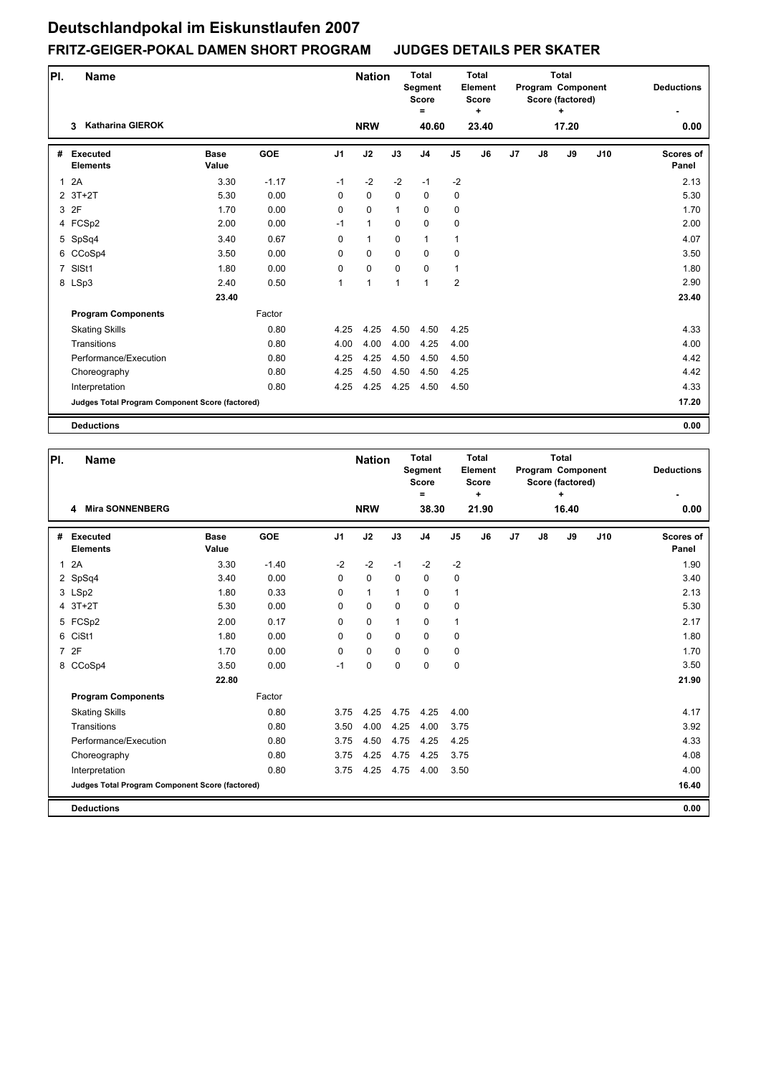| PI. | <b>Name</b>                                     |                      |            |                | <b>Nation</b> |             | <b>Total</b><br>Segment<br><b>Score</b><br>= |                | Total<br>Element<br><b>Score</b><br>$\ddot{}$ |                |               | <b>Total</b><br>Program Component<br>Score (factored)<br>÷ |     | <b>Deductions</b>         |
|-----|-------------------------------------------------|----------------------|------------|----------------|---------------|-------------|----------------------------------------------|----------------|-----------------------------------------------|----------------|---------------|------------------------------------------------------------|-----|---------------------------|
|     | <b>Katharina GIEROK</b><br>3                    |                      |            |                | <b>NRW</b>    |             | 40.60                                        |                | 23.40                                         |                |               | 17.20                                                      |     | 0.00                      |
| #   | <b>Executed</b><br><b>Elements</b>              | <b>Base</b><br>Value | <b>GOE</b> | J <sub>1</sub> | J2            | J3          | J <sub>4</sub>                               | J <sub>5</sub> | J6                                            | J <sub>7</sub> | $\mathsf{J}8$ | J9                                                         | J10 | <b>Scores of</b><br>Panel |
| 1   | 2A                                              | 3.30                 | $-1.17$    | $-1$           | $-2$          | $-2$        | $-1$                                         | $-2$           |                                               |                |               |                                                            |     | 2.13                      |
|     | $2$ 3T+2T                                       | 5.30                 | 0.00       | $\Omega$       | $\mathbf 0$   | $\Omega$    | $\mathbf 0$                                  | 0              |                                               |                |               |                                                            |     | 5.30                      |
|     | 3 2F                                            | 1.70                 | 0.00       | 0              | $\mathbf 0$   | 1           | $\mathbf 0$                                  | 0              |                                               |                |               |                                                            |     | 1.70                      |
|     | 4 FCSp2                                         | 2.00                 | 0.00       | $-1$           | $\mathbf{1}$  | 0           | 0                                            | 0              |                                               |                |               |                                                            |     | 2.00                      |
|     | 5 SpSq4                                         | 3.40                 | 0.67       | 0              | $\mathbf{1}$  | $\mathbf 0$ | $\mathbf{1}$                                 | $\mathbf{1}$   |                                               |                |               |                                                            |     | 4.07                      |
|     | 6 CCoSp4                                        | 3.50                 | 0.00       | $\Omega$       | $\mathbf 0$   | $\mathbf 0$ | $\mathbf 0$                                  | 0              |                                               |                |               |                                                            |     | 3.50                      |
| 7   | SISt1                                           | 1.80                 | 0.00       | 0              | $\mathbf 0$   | $\mathbf 0$ | $\mathbf 0$                                  | $\mathbf{1}$   |                                               |                |               |                                                            |     | 1.80                      |
|     | 8 LSp3                                          | 2.40                 | 0.50       | 1              | $\mathbf{1}$  | 1           | $\mathbf{1}$                                 | $\overline{2}$ |                                               |                |               |                                                            |     | 2.90                      |
|     |                                                 | 23.40                |            |                |               |             |                                              |                |                                               |                |               |                                                            |     | 23.40                     |
|     | <b>Program Components</b>                       |                      | Factor     |                |               |             |                                              |                |                                               |                |               |                                                            |     |                           |
|     | <b>Skating Skills</b>                           |                      | 0.80       | 4.25           | 4.25          | 4.50        | 4.50                                         | 4.25           |                                               |                |               |                                                            |     | 4.33                      |
|     | Transitions                                     |                      | 0.80       | 4.00           | 4.00          | 4.00        | 4.25                                         | 4.00           |                                               |                |               |                                                            |     | 4.00                      |
|     | Performance/Execution                           |                      | 0.80       | 4.25           | 4.25          | 4.50        | 4.50                                         | 4.50           |                                               |                |               |                                                            |     | 4.42                      |
|     | Choreography                                    |                      | 0.80       | 4.25           | 4.50          | 4.50        | 4.50                                         | 4.25           |                                               |                |               |                                                            |     | 4.42                      |
|     | Interpretation                                  |                      | 0.80       | 4.25           | 4.25          | 4.25        | 4.50                                         | 4.50           |                                               |                |               |                                                            |     | 4.33                      |
|     | Judges Total Program Component Score (factored) |                      |            |                |               |             |                                              |                |                                               |                |               |                                                            |     | 17.20                     |
|     | <b>Deductions</b>                               |                      |            |                |               |             |                                              |                |                                               |                |               |                                                            |     | 0.00                      |

| PI.            | <b>Name</b>                                     |                      |            |                | <b>Nation</b> |              | <b>Total</b><br><b>Segment</b><br><b>Score</b><br>$=$ |                | Total<br>Element<br><b>Score</b><br>٠ |    |    | <b>Total</b><br>Program Component<br>Score (factored)<br>٠ |     | <b>Deductions</b>         |
|----------------|-------------------------------------------------|----------------------|------------|----------------|---------------|--------------|-------------------------------------------------------|----------------|---------------------------------------|----|----|------------------------------------------------------------|-----|---------------------------|
|                | 4 Mira SONNENBERG                               |                      |            |                | <b>NRW</b>    |              | 38.30                                                 |                | 21.90                                 |    |    | 16.40                                                      |     | 0.00                      |
| #              | Executed<br><b>Elements</b>                     | <b>Base</b><br>Value | <b>GOE</b> | J <sub>1</sub> | J2            | J3           | J <sub>4</sub>                                        | J <sub>5</sub> | J6                                    | J7 | J8 | J9                                                         | J10 | <b>Scores of</b><br>Panel |
| $\mathbf{1}$   | 2A                                              | 3.30                 | $-1.40$    | $-2$           | $-2$          | $-1$         | $-2$                                                  | $-2$           |                                       |    |    |                                                            |     | 1.90                      |
|                | 2 SpSq4                                         | 3.40                 | 0.00       | $\Omega$       | $\Omega$      | $\Omega$     | $\mathbf 0$                                           | 0              |                                       |    |    |                                                            |     | 3.40                      |
|                | 3 LSp2                                          | 1.80                 | 0.33       | $\Omega$       | $\mathbf{1}$  | 1            | $\Omega$                                              | $\mathbf{1}$   |                                       |    |    |                                                            |     | 2.13                      |
|                | 4 3T+2T                                         | 5.30                 | 0.00       | $\Omega$       | $\mathbf 0$   | $\Omega$     | $\Omega$                                              | $\pmb{0}$      |                                       |    |    |                                                            |     | 5.30                      |
|                | 5 FCSp2                                         | 2.00                 | 0.17       | $\Omega$       | 0             | $\mathbf{1}$ | $\Omega$                                              | $\mathbf{1}$   |                                       |    |    |                                                            |     | 2.17                      |
|                | 6 CiSt1                                         | 1.80                 | 0.00       | $\mathbf 0$    | $\mathbf 0$   | $\mathbf 0$  | $\mathbf 0$                                           | $\mathbf 0$    |                                       |    |    |                                                            |     | 1.80                      |
| $\overline{7}$ | 2F                                              | 1.70                 | 0.00       | $\Omega$       | $\mathbf 0$   | $\Omega$     | $\Omega$                                              | $\mathbf 0$    |                                       |    |    |                                                            |     | 1.70                      |
|                | 8 CCoSp4                                        | 3.50                 | 0.00       | $-1$           | $\mathbf 0$   | $\mathbf 0$  | $\mathbf 0$                                           | $\pmb{0}$      |                                       |    |    |                                                            |     | 3.50                      |
|                |                                                 | 22.80                |            |                |               |              |                                                       |                |                                       |    |    |                                                            |     | 21.90                     |
|                | <b>Program Components</b>                       |                      | Factor     |                |               |              |                                                       |                |                                       |    |    |                                                            |     |                           |
|                | <b>Skating Skills</b>                           |                      | 0.80       | 3.75           | 4.25          | 4.75         | 4.25                                                  | 4.00           |                                       |    |    |                                                            |     | 4.17                      |
|                | Transitions                                     |                      | 0.80       | 3.50           | 4.00          | 4.25         | 4.00                                                  | 3.75           |                                       |    |    |                                                            |     | 3.92                      |
|                | Performance/Execution                           |                      | 0.80       | 3.75           | 4.50          | 4.75         | 4.25                                                  | 4.25           |                                       |    |    |                                                            |     | 4.33                      |
|                | Choreography                                    |                      | 0.80       | 3.75           | 4.25          | 4.75         | 4.25                                                  | 3.75           |                                       |    |    |                                                            |     | 4.08                      |
|                | Interpretation                                  |                      | 0.80       | 3.75           | 4.25          | 4.75         | 4.00                                                  | 3.50           |                                       |    |    |                                                            |     | 4.00                      |
|                | Judges Total Program Component Score (factored) |                      |            |                |               |              |                                                       |                |                                       |    |    |                                                            |     | 16.40                     |
|                | <b>Deductions</b>                               |                      |            |                |               |              |                                                       |                |                                       |    |    |                                                            |     | 0.00                      |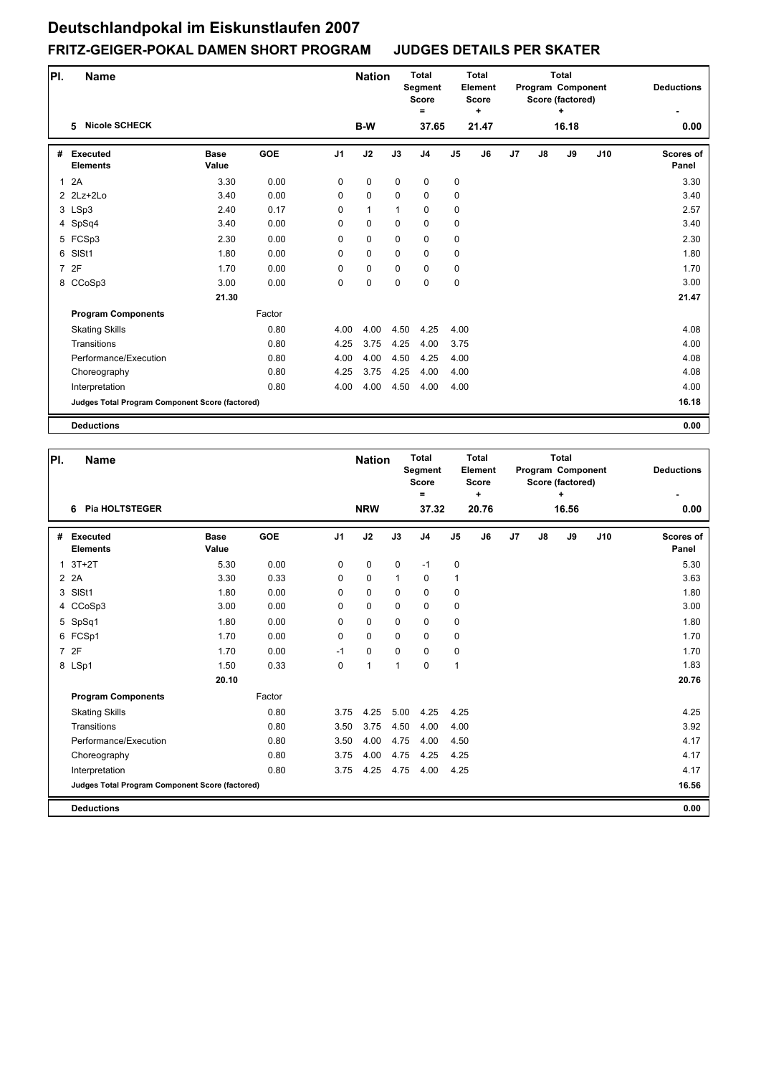| PI.          | <b>Name</b>                                     |                      |            |                | <b>Nation</b> |             | <b>Total</b><br>Segment<br><b>Score</b><br>Ξ |                | <b>Total</b><br>Element<br><b>Score</b><br>٠ |    |    | <b>Total</b><br>Program Component<br>Score (factored)<br>٠ |     | <b>Deductions</b>         |
|--------------|-------------------------------------------------|----------------------|------------|----------------|---------------|-------------|----------------------------------------------|----------------|----------------------------------------------|----|----|------------------------------------------------------------|-----|---------------------------|
|              | <b>Nicole SCHECK</b><br>5                       |                      |            |                | <b>B-W</b>    |             | 37.65                                        |                | 21.47                                        |    |    | 16.18                                                      |     | 0.00                      |
| #            | <b>Executed</b><br><b>Elements</b>              | <b>Base</b><br>Value | <b>GOE</b> | J <sub>1</sub> | J2            | J3          | J <sub>4</sub>                               | J <sub>5</sub> | J6                                           | J7 | J8 | J9                                                         | J10 | <b>Scores of</b><br>Panel |
| $\mathbf{1}$ | 2A                                              | 3.30                 | 0.00       | 0              | $\pmb{0}$     | $\mathbf 0$ | 0                                            | $\pmb{0}$      |                                              |    |    |                                                            |     | 3.30                      |
|              | $2$ $2$ Lz+ $2$ Lo                              | 3.40                 | 0.00       | 0              | $\pmb{0}$     | 0           | $\mathbf 0$                                  | 0              |                                              |    |    |                                                            |     | 3.40                      |
|              | 3 LSp3                                          | 2.40                 | 0.17       | 0              | $\mathbf{1}$  | 1           | $\mathbf 0$                                  | 0              |                                              |    |    |                                                            |     | 2.57                      |
|              | 4 SpSq4                                         | 3.40                 | 0.00       | 0              | $\mathbf 0$   | $\mathbf 0$ | $\mathbf 0$                                  | 0              |                                              |    |    |                                                            |     | 3.40                      |
|              | 5 FCSp3                                         | 2.30                 | 0.00       | 0              | 0             | $\mathbf 0$ | $\mathbf 0$                                  | 0              |                                              |    |    |                                                            |     | 2.30                      |
| 6            | SISt1                                           | 1.80                 | 0.00       | $\Omega$       | $\mathbf 0$   | $\mathbf 0$ | $\mathbf 0$                                  | 0              |                                              |    |    |                                                            |     | 1.80                      |
|              | 7 2F                                            | 1.70                 | 0.00       | 0              | $\mathbf 0$   | $\mathbf 0$ | $\mathbf 0$                                  | 0              |                                              |    |    |                                                            |     | 1.70                      |
|              | 8 CCoSp3                                        | 3.00                 | 0.00       | 0              | $\mathbf 0$   | $\mathbf 0$ | $\mathbf 0$                                  | $\pmb{0}$      |                                              |    |    |                                                            |     | 3.00                      |
|              |                                                 | 21.30                |            |                |               |             |                                              |                |                                              |    |    |                                                            |     | 21.47                     |
|              | <b>Program Components</b>                       |                      | Factor     |                |               |             |                                              |                |                                              |    |    |                                                            |     |                           |
|              | <b>Skating Skills</b>                           |                      | 0.80       | 4.00           | 4.00          | 4.50        | 4.25                                         | 4.00           |                                              |    |    |                                                            |     | 4.08                      |
|              | Transitions                                     |                      | 0.80       | 4.25           | 3.75          | 4.25        | 4.00                                         | 3.75           |                                              |    |    |                                                            |     | 4.00                      |
|              | Performance/Execution                           |                      | 0.80       | 4.00           | 4.00          | 4.50        | 4.25                                         | 4.00           |                                              |    |    |                                                            |     | 4.08                      |
|              | Choreography                                    |                      | 0.80       | 4.25           | 3.75          | 4.25        | 4.00                                         | 4.00           |                                              |    |    |                                                            |     | 4.08                      |
|              | Interpretation                                  |                      | 0.80       | 4.00           | 4.00          | 4.50        | 4.00                                         | 4.00           |                                              |    |    |                                                            |     | 4.00                      |
|              | Judges Total Program Component Score (factored) |                      |            |                |               |             |                                              |                |                                              |    |    |                                                            |     | 16.18                     |
|              | <b>Deductions</b>                               |                      |            |                |               |             |                                              |                |                                              |    |    |                                                            |     | 0.00                      |

| PI.            | Name                                            |                      |            |                | <b>Nation</b> |              | <b>Total</b><br><b>Segment</b><br><b>Score</b><br>$=$ |                | <b>Total</b><br>Element<br><b>Score</b><br>٠ |    |    | <b>Total</b><br>Program Component<br>Score (factored)<br>÷ |     | <b>Deductions</b>         |
|----------------|-------------------------------------------------|----------------------|------------|----------------|---------------|--------------|-------------------------------------------------------|----------------|----------------------------------------------|----|----|------------------------------------------------------------|-----|---------------------------|
|                | <b>Pia HOLTSTEGER</b><br>6                      |                      |            |                | <b>NRW</b>    |              | 37.32                                                 |                | 20.76                                        |    |    | 16.56                                                      |     | 0.00                      |
| #              | Executed<br><b>Elements</b>                     | <b>Base</b><br>Value | <b>GOE</b> | J <sub>1</sub> | J2            | J3           | J <sub>4</sub>                                        | J <sub>5</sub> | J6                                           | J7 | J8 | J9                                                         | J10 | <b>Scores of</b><br>Panel |
| 1              | $3T+2T$                                         | 5.30                 | 0.00       | 0              | $\pmb{0}$     | 0            | $-1$                                                  | $\pmb{0}$      |                                              |    |    |                                                            |     | 5.30                      |
|                | 2 2 A                                           | 3.30                 | 0.33       | $\Omega$       | $\mathbf 0$   | $\mathbf{1}$ | $\mathbf 0$                                           | $\mathbf{1}$   |                                              |    |    |                                                            |     | 3.63                      |
| 3              | SISt1                                           | 1.80                 | 0.00       | $\Omega$       | $\mathbf 0$   | $\Omega$     | $\mathbf 0$                                           | 0              |                                              |    |    |                                                            |     | 1.80                      |
|                | 4 CCoSp3                                        | 3.00                 | 0.00       | 0              | $\mathbf 0$   | $\Omega$     | $\mathbf 0$                                           | 0              |                                              |    |    |                                                            |     | 3.00                      |
|                | 5 SpSq1                                         | 1.80                 | 0.00       | 0              | 0             | $\Omega$     | $\Omega$                                              | 0              |                                              |    |    |                                                            |     | 1.80                      |
|                | 6 FCSp1                                         | 1.70                 | 0.00       | $\mathbf 0$    | $\mathbf 0$   | $\mathbf 0$  | $\mathbf 0$                                           | $\pmb{0}$      |                                              |    |    |                                                            |     | 1.70                      |
| $\overline{7}$ | 2F                                              | 1.70                 | 0.00       | $-1$           | $\mathbf 0$   | $\Omega$     | $\Omega$                                              | $\mathbf 0$    |                                              |    |    |                                                            |     | 1.70                      |
|                | 8 LSp1                                          | 1.50                 | 0.33       | $\mathbf 0$    | 1             | $\mathbf{1}$ | $\mathbf 0$                                           | $\mathbf{1}$   |                                              |    |    |                                                            |     | 1.83                      |
|                |                                                 | 20.10                |            |                |               |              |                                                       |                |                                              |    |    |                                                            |     | 20.76                     |
|                | <b>Program Components</b>                       |                      | Factor     |                |               |              |                                                       |                |                                              |    |    |                                                            |     |                           |
|                | <b>Skating Skills</b>                           |                      | 0.80       | 3.75           | 4.25          | 5.00         | 4.25                                                  | 4.25           |                                              |    |    |                                                            |     | 4.25                      |
|                | Transitions                                     |                      | 0.80       | 3.50           | 3.75          | 4.50         | 4.00                                                  | 4.00           |                                              |    |    |                                                            |     | 3.92                      |
|                | Performance/Execution                           |                      | 0.80       | 3.50           | 4.00          | 4.75         | 4.00                                                  | 4.50           |                                              |    |    |                                                            |     | 4.17                      |
|                | Choreography                                    |                      | 0.80       | 3.75           | 4.00          | 4.75         | 4.25                                                  | 4.25           |                                              |    |    |                                                            |     | 4.17                      |
|                | Interpretation                                  |                      | 0.80       | 3.75           | 4.25          | 4.75         | 4.00                                                  | 4.25           |                                              |    |    |                                                            |     | 4.17                      |
|                | Judges Total Program Component Score (factored) |                      |            |                |               |              |                                                       |                |                                              |    |    |                                                            |     | 16.56                     |
|                | <b>Deductions</b>                               |                      |            |                |               |              |                                                       |                |                                              |    |    |                                                            |     | 0.00                      |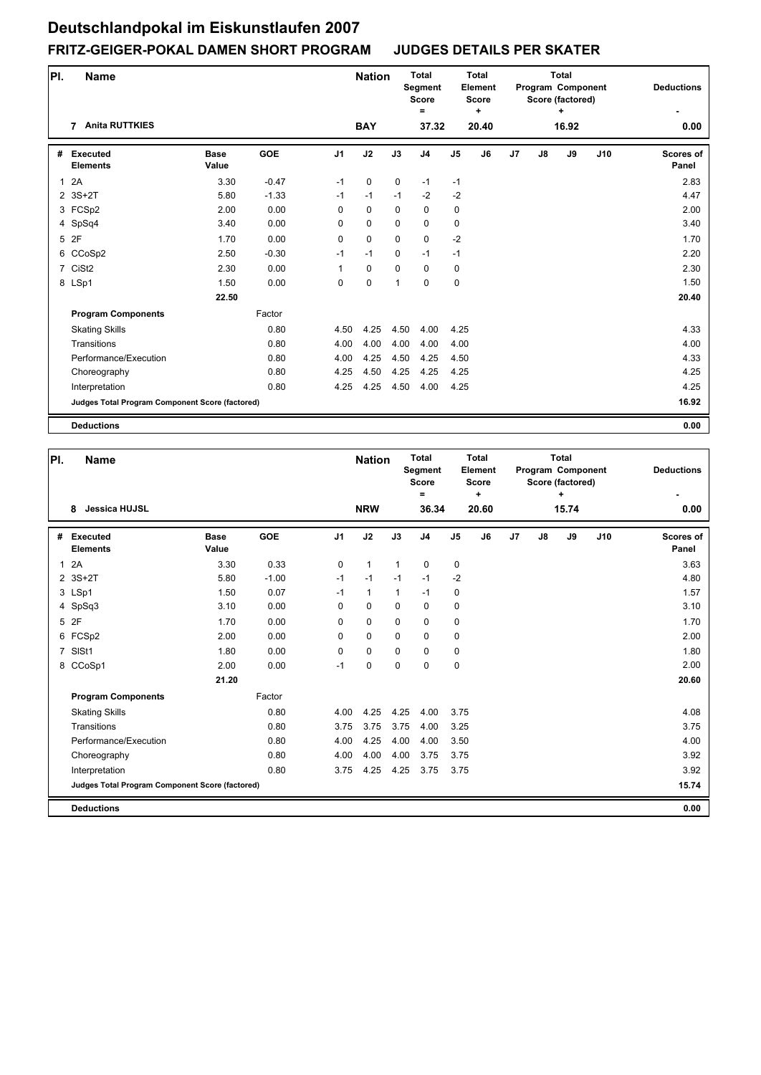| PI.          | <b>Name</b>                                     |                      |            |                | <b>Nation</b> |             | <b>Total</b><br>Segment<br><b>Score</b><br>$\equiv$ |               | <b>Total</b><br>Element<br><b>Score</b><br>٠ |    |               | <b>Total</b><br>Program Component<br>Score (factored)<br>÷ |     | <b>Deductions</b>  |
|--------------|-------------------------------------------------|----------------------|------------|----------------|---------------|-------------|-----------------------------------------------------|---------------|----------------------------------------------|----|---------------|------------------------------------------------------------|-----|--------------------|
|              | <b>Anita RUTTKIES</b><br>7                      |                      |            |                | <b>BAY</b>    |             | 37.32                                               |               | 20.40                                        |    |               | 16.92                                                      |     | 0.00               |
| #            | <b>Executed</b><br><b>Elements</b>              | <b>Base</b><br>Value | <b>GOE</b> | J <sub>1</sub> | J2            | J3          | J4                                                  | $\mathsf{J}5$ | J6                                           | J7 | $\mathsf{J}8$ | J9                                                         | J10 | Scores of<br>Panel |
| $\mathbf{1}$ | 2A                                              | 3.30                 | $-0.47$    | $-1$           | $\mathbf 0$   | $\mathbf 0$ | $-1$                                                | $-1$          |                                              |    |               |                                                            |     | 2.83               |
|              | 2 3S+2T                                         | 5.80                 | $-1.33$    | $-1$           | $-1$          | $-1$        | $-2$                                                | $-2$          |                                              |    |               |                                                            |     | 4.47               |
|              | 3 FCSp2                                         | 2.00                 | 0.00       | 0              | $\mathbf 0$   | $\Omega$    | 0                                                   | 0             |                                              |    |               |                                                            |     | 2.00               |
|              | 4 SpSq4                                         | 3.40                 | 0.00       | 0              | $\mathbf 0$   | $\Omega$    | 0                                                   | 0             |                                              |    |               |                                                            |     | 3.40               |
|              | 5 2F                                            | 1.70                 | 0.00       | 0              | $\mathbf 0$   | $\mathbf 0$ | 0                                                   | $-2$          |                                              |    |               |                                                            |     | 1.70               |
|              | 6 CCoSp2                                        | 2.50                 | $-0.30$    | $-1$           | $-1$          | $\mathbf 0$ | $-1$                                                | $-1$          |                                              |    |               |                                                            |     | 2.20               |
|              | 7 CiSt2                                         | 2.30                 | 0.00       | 1              | 0             | $\mathbf 0$ | 0                                                   | 0             |                                              |    |               |                                                            |     | 2.30               |
|              | 8 LSp1                                          | 1.50                 | 0.00       | 0              | $\mathbf 0$   | 1           | $\mathbf 0$                                         | $\mathbf 0$   |                                              |    |               |                                                            |     | 1.50               |
|              |                                                 | 22.50                |            |                |               |             |                                                     |               |                                              |    |               |                                                            |     | 20.40              |
|              | <b>Program Components</b>                       |                      | Factor     |                |               |             |                                                     |               |                                              |    |               |                                                            |     |                    |
|              | <b>Skating Skills</b>                           |                      | 0.80       | 4.50           | 4.25          | 4.50        | 4.00                                                | 4.25          |                                              |    |               |                                                            |     | 4.33               |
|              | Transitions                                     |                      | 0.80       | 4.00           | 4.00          | 4.00        | 4.00                                                | 4.00          |                                              |    |               |                                                            |     | 4.00               |
|              | Performance/Execution                           |                      | 0.80       | 4.00           | 4.25          | 4.50        | 4.25                                                | 4.50          |                                              |    |               |                                                            |     | 4.33               |
|              | Choreography                                    |                      | 0.80       | 4.25           | 4.50          | 4.25        | 4.25                                                | 4.25          |                                              |    |               |                                                            |     | 4.25               |
|              | Interpretation                                  |                      | 0.80       | 4.25           | 4.25          | 4.50        | 4.00                                                | 4.25          |                                              |    |               |                                                            |     | 4.25               |
|              | Judges Total Program Component Score (factored) |                      |            |                |               |             |                                                     |               |                                              |    |               |                                                            |     | 16.92              |
|              | <b>Deductions</b>                               |                      |            |                |               |             |                                                     |               |                                              |    |               |                                                            |     | 0.00               |

| PI.            | <b>Name</b>                                     |                      |            |                | <b>Nation</b> |              | <b>Total</b><br><b>Segment</b><br><b>Score</b><br>$\equiv$ |                | <b>Total</b><br>Element<br><b>Score</b><br>٠ |    |               | <b>Total</b><br>Program Component<br>Score (factored)<br>÷ |     | <b>Deductions</b>  |
|----------------|-------------------------------------------------|----------------------|------------|----------------|---------------|--------------|------------------------------------------------------------|----------------|----------------------------------------------|----|---------------|------------------------------------------------------------|-----|--------------------|
|                | <b>Jessica HUJSL</b><br>8                       |                      |            |                | <b>NRW</b>    |              | 36.34                                                      |                | 20.60                                        |    |               | 15.74                                                      |     | 0.00               |
| #              | Executed<br><b>Elements</b>                     | <b>Base</b><br>Value | <b>GOE</b> | J <sub>1</sub> | J2            | J3           | J <sub>4</sub>                                             | J <sub>5</sub> | J6                                           | J7 | $\mathsf{J}8$ | J9                                                         | J10 | Scores of<br>Panel |
| $\mathbf{1}$   | 2A                                              | 3.30                 | 0.33       | 0              | $\mathbf{1}$  | $\mathbf{1}$ | $\mathbf 0$                                                | 0              |                                              |    |               |                                                            |     | 3.63               |
|                | 2 3S+2T                                         | 5.80                 | $-1.00$    | $-1$           | $-1$          | $-1$         | $-1$                                                       | $-2$           |                                              |    |               |                                                            |     | 4.80               |
|                | 3 LSp1                                          | 1.50                 | 0.07       | $-1$           | $\mathbf{1}$  | $\mathbf{1}$ | $-1$                                                       | 0              |                                              |    |               |                                                            |     | 1.57               |
|                | 4 SpSq3                                         | 3.10                 | 0.00       | 0              | $\mathbf 0$   | $\mathbf 0$  | $\mathbf 0$                                                | 0              |                                              |    |               |                                                            |     | 3.10               |
|                | 5 2F                                            | 1.70                 | 0.00       | $\Omega$       | $\mathbf 0$   | $\Omega$     | $\Omega$                                                   | 0              |                                              |    |               |                                                            |     | 1.70               |
| 6              | FCSp2                                           | 2.00                 | 0.00       | 0              | $\mathbf 0$   | $\mathbf 0$  | $\mathbf 0$                                                | 0              |                                              |    |               |                                                            |     | 2.00               |
| $\overline{7}$ | SISt1                                           | 1.80                 | 0.00       | $\Omega$       | $\mathbf 0$   | $\mathbf 0$  | $\mathbf 0$                                                | 0              |                                              |    |               |                                                            |     | 1.80               |
| 8              | CCoSp1                                          | 2.00                 | 0.00       | $-1$           | 0             | $\mathbf 0$  | $\mathbf 0$                                                | 0              |                                              |    |               |                                                            |     | 2.00               |
|                |                                                 | 21.20                |            |                |               |              |                                                            |                |                                              |    |               |                                                            |     | 20.60              |
|                | <b>Program Components</b>                       |                      | Factor     |                |               |              |                                                            |                |                                              |    |               |                                                            |     |                    |
|                | <b>Skating Skills</b>                           |                      | 0.80       | 4.00           | 4.25          | 4.25         | 4.00                                                       | 3.75           |                                              |    |               |                                                            |     | 4.08               |
|                | Transitions                                     |                      | 0.80       | 3.75           | 3.75          | 3.75         | 4.00                                                       | 3.25           |                                              |    |               |                                                            |     | 3.75               |
|                | Performance/Execution                           |                      | 0.80       | 4.00           | 4.25          | 4.00         | 4.00                                                       | 3.50           |                                              |    |               |                                                            |     | 4.00               |
|                | Choreography                                    |                      | 0.80       | 4.00           | 4.00          | 4.00         | 3.75                                                       | 3.75           |                                              |    |               |                                                            |     | 3.92               |
|                | Interpretation                                  |                      | 0.80       | 3.75           | 4.25          | 4.25         | 3.75                                                       | 3.75           |                                              |    |               |                                                            |     | 3.92               |
|                | Judges Total Program Component Score (factored) |                      |            |                |               |              |                                                            |                |                                              |    |               |                                                            |     | 15.74              |
|                | <b>Deductions</b>                               |                      |            |                |               |              |                                                            |                |                                              |    |               |                                                            |     | 0.00               |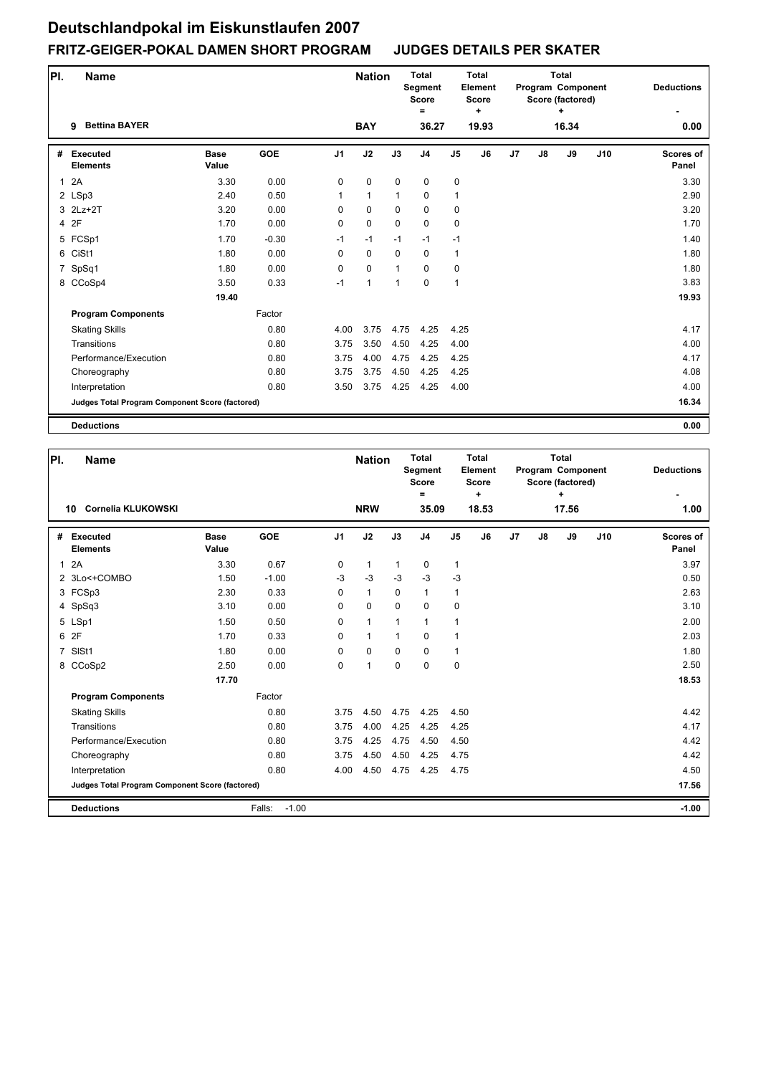| PI.          | <b>Name</b>                                     |                      |            |                | <b>Nation</b> |              | <b>Total</b><br>Segment<br><b>Score</b><br>Ξ |              | <b>Total</b><br>Element<br><b>Score</b><br>$\ddot{}$ |                |               | <b>Total</b><br>Program Component<br>Score (factored)<br>÷ |     | <b>Deductions</b>  |
|--------------|-------------------------------------------------|----------------------|------------|----------------|---------------|--------------|----------------------------------------------|--------------|------------------------------------------------------|----------------|---------------|------------------------------------------------------------|-----|--------------------|
|              | <b>Bettina BAYER</b><br>9                       |                      |            |                | <b>BAY</b>    |              | 36.27                                        |              | 19.93                                                |                |               | 16.34                                                      |     | 0.00               |
| #            | <b>Executed</b><br><b>Elements</b>              | <b>Base</b><br>Value | <b>GOE</b> | J <sub>1</sub> | J2            | J3           | J <sub>4</sub>                               | J5           | J <sub>6</sub>                                       | J <sub>7</sub> | $\mathsf{J}8$ | J9                                                         | J10 | Scores of<br>Panel |
| $\mathbf{1}$ | 2A                                              | 3.30                 | 0.00       | 0              | $\pmb{0}$     | $\mathbf 0$  | $\mathbf 0$                                  | $\pmb{0}$    |                                                      |                |               |                                                            |     | 3.30               |
|              | 2 LSp3                                          | 2.40                 | 0.50       | $\mathbf{1}$   | $\mathbf{1}$  | $\mathbf{1}$ | $\mathbf 0$                                  | $\mathbf{1}$ |                                                      |                |               |                                                            |     | 2.90               |
|              | 3 2Lz+2T                                        | 3.20                 | 0.00       | 0              | $\mathbf 0$   | $\mathbf 0$  | $\mathbf 0$                                  | 0            |                                                      |                |               |                                                            |     | 3.20               |
|              | 4 2F                                            | 1.70                 | 0.00       | 0              | $\mathbf 0$   | $\mathbf 0$  | $\mathbf 0$                                  | $\pmb{0}$    |                                                      |                |               |                                                            |     | 1.70               |
|              | 5 FCSp1                                         | 1.70                 | $-0.30$    | $-1$           | $-1$          | $-1$         | $-1$                                         | $-1$         |                                                      |                |               |                                                            |     | 1.40               |
|              | 6 CiSt1                                         | 1.80                 | 0.00       | $\Omega$       | $\mathbf 0$   | $\mathbf 0$  | $\mathbf 0$                                  | $\mathbf{1}$ |                                                      |                |               |                                                            |     | 1.80               |
| 7            | SpSq1                                           | 1.80                 | 0.00       | 0              | $\pmb{0}$     | $\mathbf{1}$ | $\mathbf 0$                                  | 0            |                                                      |                |               |                                                            |     | 1.80               |
|              | 8 CCoSp4                                        | 3.50                 | 0.33       | $-1$           | $\mathbf{1}$  | $\mathbf{1}$ | $\Omega$                                     | $\mathbf{1}$ |                                                      |                |               |                                                            |     | 3.83               |
|              |                                                 | 19.40                |            |                |               |              |                                              |              |                                                      |                |               |                                                            |     | 19.93              |
|              | <b>Program Components</b>                       |                      | Factor     |                |               |              |                                              |              |                                                      |                |               |                                                            |     |                    |
|              | <b>Skating Skills</b>                           |                      | 0.80       | 4.00           | 3.75          | 4.75         | 4.25                                         | 4.25         |                                                      |                |               |                                                            |     | 4.17               |
|              | Transitions                                     |                      | 0.80       | 3.75           | 3.50          | 4.50         | 4.25                                         | 4.00         |                                                      |                |               |                                                            |     | 4.00               |
|              | Performance/Execution                           |                      | 0.80       | 3.75           | 4.00          | 4.75         | 4.25                                         | 4.25         |                                                      |                |               |                                                            |     | 4.17               |
|              | Choreography                                    |                      | 0.80       | 3.75           | 3.75          | 4.50         | 4.25                                         | 4.25         |                                                      |                |               |                                                            |     | 4.08               |
|              | Interpretation                                  |                      | 0.80       | 3.50           | 3.75          | 4.25         | 4.25                                         | 4.00         |                                                      |                |               |                                                            |     | 4.00               |
|              | Judges Total Program Component Score (factored) |                      |            |                |               |              |                                              |              |                                                      |                |               |                                                            |     | 16.34              |
|              | <b>Deductions</b>                               |                      |            |                |               |              |                                              |              |                                                      |                |               |                                                            |     | 0.00               |

| PI.            | Name                                            |                      |                   |                | <b>Nation</b> |              | <b>Total</b><br><b>Segment</b><br><b>Score</b><br>$=$ |                | <b>Total</b><br>Element<br><b>Score</b><br>٠ |    |               | <b>Total</b><br>Program Component<br>Score (factored)<br>٠ |     | <b>Deductions</b>  |
|----------------|-------------------------------------------------|----------------------|-------------------|----------------|---------------|--------------|-------------------------------------------------------|----------------|----------------------------------------------|----|---------------|------------------------------------------------------------|-----|--------------------|
|                | Cornelia KLUKOWSKI<br>10                        |                      |                   |                | <b>NRW</b>    |              | 35.09                                                 |                | 18.53                                        |    |               | 17.56                                                      |     | 1.00               |
| #              | Executed<br><b>Elements</b>                     | <b>Base</b><br>Value | <b>GOE</b>        | J <sub>1</sub> | J2            | J3           | J <sub>4</sub>                                        | J <sub>5</sub> | J6                                           | J7 | $\mathsf{J}8$ | J9                                                         | J10 | Scores of<br>Panel |
| $\mathbf{1}$   | 2A                                              | 3.30                 | 0.67              | 0              | $\mathbf{1}$  | $\mathbf{1}$ | 0                                                     | 1              |                                              |    |               |                                                            |     | 3.97               |
|                | 2 3Lo<+COMBO                                    | 1.50                 | $-1.00$           | $-3$           | $-3$          | $-3$         | $-3$                                                  | $-3$           |                                              |    |               |                                                            |     | 0.50               |
|                | 3 FCSp3                                         | 2.30                 | 0.33              | 0              | $\mathbf{1}$  | $\Omega$     | $\mathbf 1$                                           | $\mathbf{1}$   |                                              |    |               |                                                            |     | 2.63               |
|                | 4 SpSq3                                         | 3.10                 | 0.00              | 0              | $\mathbf 0$   | $\mathbf 0$  | $\mathbf 0$                                           | 0              |                                              |    |               |                                                            |     | 3.10               |
|                | 5 LSp1                                          | 1.50                 | 0.50              | $\Omega$       | $\mathbf{1}$  | $\mathbf{1}$ | $\mathbf{1}$                                          | 1              |                                              |    |               |                                                            |     | 2.00               |
|                | 6 2F                                            | 1.70                 | 0.33              | 0              | $\mathbf{1}$  | $\mathbf{1}$ | $\mathbf 0$                                           | 1              |                                              |    |               |                                                            |     | 2.03               |
| $\overline{7}$ | SISt1                                           | 1.80                 | 0.00              | 0              | $\mathbf 0$   | $\mathbf 0$  | $\Omega$                                              | 1              |                                              |    |               |                                                            |     | 1.80               |
|                | 8 CCoSp2                                        | 2.50                 | 0.00              | 0              | 1             | $\mathbf 0$  | $\mathbf 0$                                           | 0              |                                              |    |               |                                                            |     | 2.50               |
|                |                                                 | 17.70                |                   |                |               |              |                                                       |                |                                              |    |               |                                                            |     | 18.53              |
|                | <b>Program Components</b>                       |                      | Factor            |                |               |              |                                                       |                |                                              |    |               |                                                            |     |                    |
|                | <b>Skating Skills</b>                           |                      | 0.80              | 3.75           | 4.50          | 4.75         | 4.25                                                  | 4.50           |                                              |    |               |                                                            |     | 4.42               |
|                | Transitions                                     |                      | 0.80              | 3.75           | 4.00          | 4.25         | 4.25                                                  | 4.25           |                                              |    |               |                                                            |     | 4.17               |
|                | Performance/Execution                           |                      | 0.80              | 3.75           | 4.25          | 4.75         | 4.50                                                  | 4.50           |                                              |    |               |                                                            |     | 4.42               |
|                | Choreography                                    |                      | 0.80              | 3.75           | 4.50          | 4.50         | 4.25                                                  | 4.75           |                                              |    |               |                                                            |     | 4.42               |
|                | Interpretation                                  |                      | 0.80              | 4.00           | 4.50          | 4.75         | 4.25                                                  | 4.75           |                                              |    |               |                                                            |     | 4.50               |
|                | Judges Total Program Component Score (factored) |                      |                   |                |               |              |                                                       |                |                                              |    |               |                                                            |     | 17.56              |
|                | <b>Deductions</b>                               |                      | $-1.00$<br>Falls: |                |               |              |                                                       |                |                                              |    |               |                                                            |     | $-1.00$            |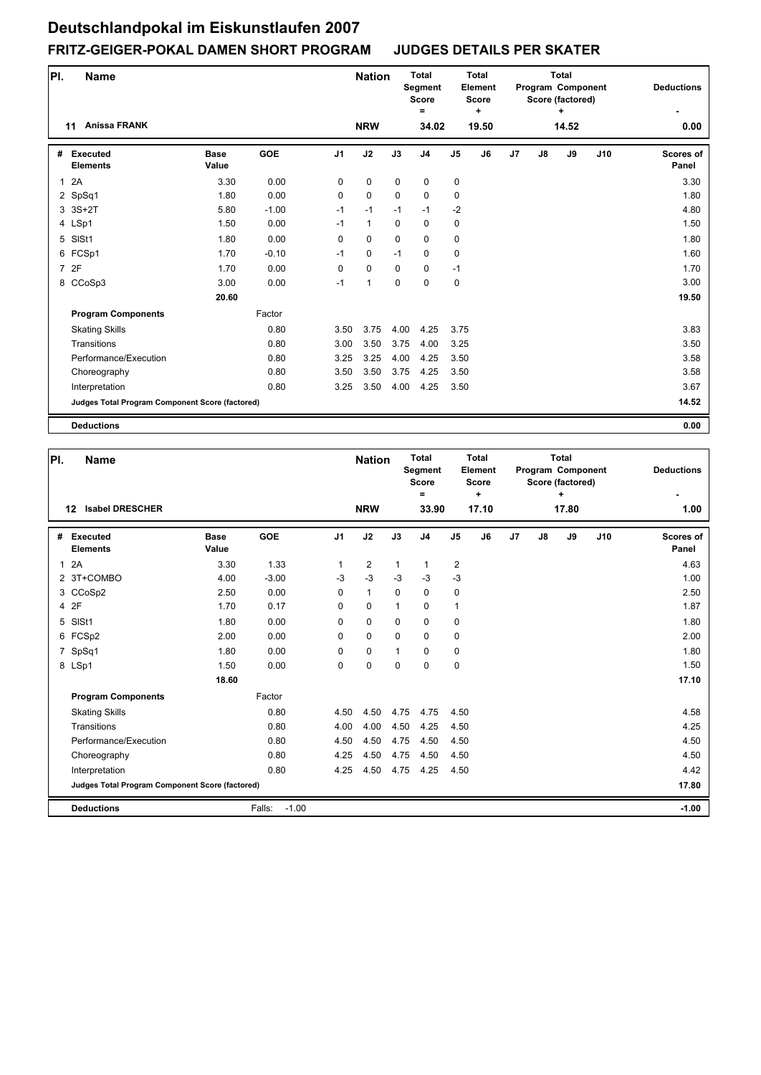| PI.          | <b>Name</b>                                     |                      |            |                | <b>Nation</b> |             | <b>Total</b><br>Segment<br><b>Score</b><br>$\equiv$ |               | <b>Total</b><br>Element<br><b>Score</b><br>٠ |    |    | <b>Total</b><br>Program Component<br>Score (factored)<br>٠ |     | <b>Deductions</b>         |
|--------------|-------------------------------------------------|----------------------|------------|----------------|---------------|-------------|-----------------------------------------------------|---------------|----------------------------------------------|----|----|------------------------------------------------------------|-----|---------------------------|
|              | <b>Anissa FRANK</b><br>11                       |                      |            |                | <b>NRW</b>    |             | 34.02                                               |               | 19.50                                        |    |    | 14.52                                                      |     | 0.00                      |
| #            | <b>Executed</b><br><b>Elements</b>              | <b>Base</b><br>Value | <b>GOE</b> | J <sub>1</sub> | J2            | J3          | J <sub>4</sub>                                      | $\mathsf{J}5$ | J6                                           | J7 | J8 | J9                                                         | J10 | <b>Scores of</b><br>Panel |
| $\mathbf{1}$ | 2A                                              | 3.30                 | 0.00       | 0              | $\pmb{0}$     | $\mathbf 0$ | 0                                                   | $\pmb{0}$     |                                              |    |    |                                                            |     | 3.30                      |
|              | 2 SpSq1                                         | 1.80                 | 0.00       | 0              | $\mathbf 0$   | $\mathbf 0$ | $\mathbf 0$                                         | 0             |                                              |    |    |                                                            |     | 1.80                      |
|              | 3 3S+2T                                         | 5.80                 | $-1.00$    | $-1$           | $-1$          | $-1$        | $-1$                                                | $-2$          |                                              |    |    |                                                            |     | 4.80                      |
|              | 4 LSp1                                          | 1.50                 | 0.00       | $-1$           | $\mathbf{1}$  | 0           | $\mathbf 0$                                         | 0             |                                              |    |    |                                                            |     | 1.50                      |
| 5            | SISt1                                           | 1.80                 | 0.00       | 0              | $\mathbf 0$   | $\mathbf 0$ | $\mathbf 0$                                         | 0             |                                              |    |    |                                                            |     | 1.80                      |
|              | 6 FCSp1                                         | 1.70                 | $-0.10$    | $-1$           | $\mathbf 0$   | $-1$        | $\mathbf 0$                                         | 0             |                                              |    |    |                                                            |     | 1.60                      |
|              | 7 2F                                            | 1.70                 | 0.00       | 0              | $\mathbf 0$   | $\mathbf 0$ | $\mathbf 0$                                         | $-1$          |                                              |    |    |                                                            |     | 1.70                      |
|              | 8 CCoSp3                                        | 3.00                 | 0.00       | $-1$           | $\mathbf{1}$  | $\mathbf 0$ | $\mathbf 0$                                         | 0             |                                              |    |    |                                                            |     | 3.00                      |
|              |                                                 | 20.60                |            |                |               |             |                                                     |               |                                              |    |    |                                                            |     | 19.50                     |
|              | <b>Program Components</b>                       |                      | Factor     |                |               |             |                                                     |               |                                              |    |    |                                                            |     |                           |
|              | <b>Skating Skills</b>                           |                      | 0.80       | 3.50           | 3.75          | 4.00        | 4.25                                                | 3.75          |                                              |    |    |                                                            |     | 3.83                      |
|              | Transitions                                     |                      | 0.80       | 3.00           | 3.50          | 3.75        | 4.00                                                | 3.25          |                                              |    |    |                                                            |     | 3.50                      |
|              | Performance/Execution                           |                      | 0.80       | 3.25           | 3.25          | 4.00        | 4.25                                                | 3.50          |                                              |    |    |                                                            |     | 3.58                      |
|              | Choreography                                    |                      | 0.80       | 3.50           | 3.50          | 3.75        | 4.25                                                | 3.50          |                                              |    |    |                                                            |     | 3.58                      |
|              | Interpretation                                  |                      | 0.80       | 3.25           | 3.50          | 4.00        | 4.25                                                | 3.50          |                                              |    |    |                                                            |     | 3.67                      |
|              | Judges Total Program Component Score (factored) |                      |            |                |               |             |                                                     |               |                                              |    |    |                                                            |     | 14.52                     |
|              | <b>Deductions</b>                               |                      |            |                |               |             |                                                     |               |                                              |    |    |                                                            |     | 0.00                      |

| PI.          | <b>Name</b>                                     |                      |                   |                | <b>Nation</b>  |              | <b>Total</b><br><b>Segment</b><br><b>Score</b><br>Ξ |                | Total<br>Element<br><b>Score</b><br>٠ |    |    | <b>Total</b><br>Program Component<br>Score (factored)<br>٠ |     | <b>Deductions</b>         |
|--------------|-------------------------------------------------|----------------------|-------------------|----------------|----------------|--------------|-----------------------------------------------------|----------------|---------------------------------------|----|----|------------------------------------------------------------|-----|---------------------------|
|              | <b>Isabel DRESCHER</b><br>$12 \,$               |                      |                   |                | <b>NRW</b>     |              | 33.90                                               |                | 17.10                                 |    |    | 17.80                                                      |     | 1.00                      |
| #            | Executed<br><b>Elements</b>                     | <b>Base</b><br>Value | <b>GOE</b>        | J <sub>1</sub> | J2             | J3           | J <sub>4</sub>                                      | J <sub>5</sub> | J6                                    | J7 | J8 | J9                                                         | J10 | <b>Scores of</b><br>Panel |
| $\mathbf{1}$ | 2A                                              | 3.30                 | 1.33              | 1              | $\overline{2}$ | $\mathbf{1}$ | $\mathbf{1}$                                        | $\overline{2}$ |                                       |    |    |                                                            |     | 4.63                      |
|              | 2 3T+COMBO                                      | 4.00                 | $-3.00$           | $-3$           | $-3$           | $-3$         | $-3$                                                | $-3$           |                                       |    |    |                                                            |     | 1.00                      |
|              | 3 CCoSp2                                        | 2.50                 | 0.00              | $\Omega$       | $\mathbf{1}$   | $\Omega$     | $\Omega$                                            | $\pmb{0}$      |                                       |    |    |                                                            |     | 2.50                      |
|              | 4 2F                                            | 1.70                 | 0.17              | 0              | $\mathbf 0$    | $\mathbf{1}$ | $\Omega$                                            | $\mathbf{1}$   |                                       |    |    |                                                            |     | 1.87                      |
| 5            | SISt1                                           | 1.80                 | 0.00              | 0              | 0              | $\Omega$     | $\Omega$                                            | 0              |                                       |    |    |                                                            |     | 1.80                      |
|              | 6 FCSp2                                         | 2.00                 | 0.00              | 0              | $\Omega$       | $\mathbf{0}$ | $\Omega$                                            | $\pmb{0}$      |                                       |    |    |                                                            |     | 2.00                      |
|              | 7 SpSq1                                         | 1.80                 | 0.00              | 0              | $\mathbf 0$    | 1            | $\Omega$                                            | $\pmb{0}$      |                                       |    |    |                                                            |     | 1.80                      |
|              | 8 LSp1                                          | 1.50                 | 0.00              | $\mathbf 0$    | 0              | 0            | $\mathbf 0$                                         | $\pmb{0}$      |                                       |    |    |                                                            |     | 1.50                      |
|              |                                                 | 18.60                |                   |                |                |              |                                                     |                |                                       |    |    |                                                            |     | 17.10                     |
|              | <b>Program Components</b>                       |                      | Factor            |                |                |              |                                                     |                |                                       |    |    |                                                            |     |                           |
|              | <b>Skating Skills</b>                           |                      | 0.80              | 4.50           | 4.50           | 4.75         | 4.75                                                | 4.50           |                                       |    |    |                                                            |     | 4.58                      |
|              | Transitions                                     |                      | 0.80              | 4.00           | 4.00           | 4.50         | 4.25                                                | 4.50           |                                       |    |    |                                                            |     | 4.25                      |
|              | Performance/Execution                           |                      | 0.80              | 4.50           | 4.50           | 4.75         | 4.50                                                | 4.50           |                                       |    |    |                                                            |     | 4.50                      |
|              | Choreography                                    |                      | 0.80              | 4.25           | 4.50           | 4.75         | 4.50                                                | 4.50           |                                       |    |    |                                                            |     | 4.50                      |
|              | Interpretation                                  |                      | 0.80              | 4.25           | 4.50           | 4.75         | 4.25                                                | 4.50           |                                       |    |    |                                                            |     | 4.42                      |
|              | Judges Total Program Component Score (factored) |                      |                   |                |                |              |                                                     |                |                                       |    |    |                                                            |     | 17.80                     |
|              | <b>Deductions</b>                               |                      | $-1.00$<br>Falls: |                |                |              |                                                     |                |                                       |    |    |                                                            |     | $-1.00$                   |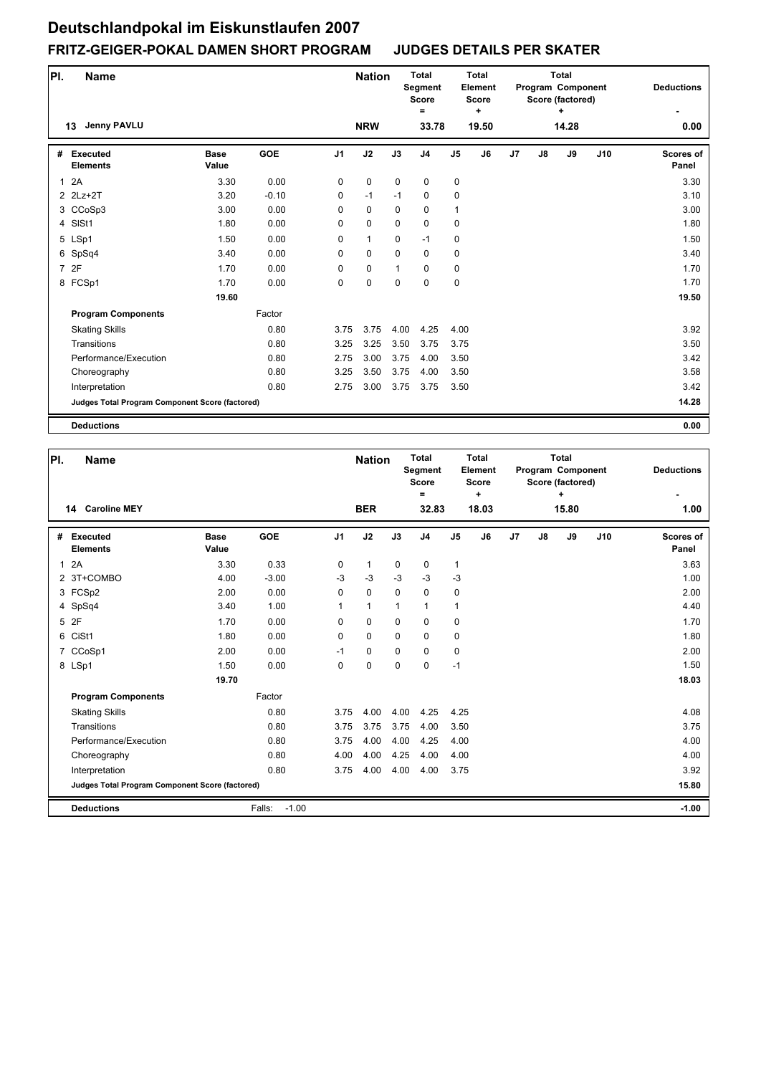| PI.            | <b>Name</b>                                     |                      |            |                | <b>Nation</b> |             | <b>Total</b><br>Segment<br><b>Score</b><br>Ξ |                | <b>Total</b><br>Element<br><b>Score</b><br>٠ |    |    | <b>Total</b><br>Program Component<br>Score (factored)<br>+ |     | <b>Deductions</b>         |
|----------------|-------------------------------------------------|----------------------|------------|----------------|---------------|-------------|----------------------------------------------|----------------|----------------------------------------------|----|----|------------------------------------------------------------|-----|---------------------------|
|                | <b>Jenny PAVLU</b><br>13                        |                      |            |                | <b>NRW</b>    |             | 33.78                                        |                | 19.50                                        |    |    | 14.28                                                      |     | 0.00                      |
| #              | <b>Executed</b><br><b>Elements</b>              | <b>Base</b><br>Value | <b>GOE</b> | J <sub>1</sub> | J2            | J3          | J <sub>4</sub>                               | J <sub>5</sub> | J6                                           | J7 | J8 | J9                                                         | J10 | <b>Scores of</b><br>Panel |
| $\mathbf{1}$   | 2A                                              | 3.30                 | 0.00       | 0              | $\mathbf 0$   | $\mathbf 0$ | $\mathbf 0$                                  | 0              |                                              |    |    |                                                            |     | 3.30                      |
|                | 2 2Lz+2T                                        | 3.20                 | $-0.10$    | 0              | $-1$          | $-1$        | $\mathbf 0$                                  | 0              |                                              |    |    |                                                            |     | 3.10                      |
|                | 3 CCoSp3                                        | 3.00                 | 0.00       | 0              | $\mathbf 0$   | 0           | $\mathbf 0$                                  | 1              |                                              |    |    |                                                            |     | 3.00                      |
| $\overline{4}$ | SISt1                                           | 1.80                 | 0.00       | 0              | $\mathbf 0$   | $\mathbf 0$ | $\mathbf 0$                                  | 0              |                                              |    |    |                                                            |     | 1.80                      |
|                | 5 LSp1                                          | 1.50                 | 0.00       | 0              | $\mathbf{1}$  | $\mathbf 0$ | $-1$                                         | 0              |                                              |    |    |                                                            |     | 1.50                      |
|                | 6 SpSq4                                         | 3.40                 | 0.00       | $\Omega$       | $\mathbf 0$   | $\Omega$    | $\mathbf 0$                                  | 0              |                                              |    |    |                                                            |     | 3.40                      |
|                | 7 2F                                            | 1.70                 | 0.00       | 0              | $\pmb{0}$     | 1           | $\mathbf 0$                                  | 0              |                                              |    |    |                                                            |     | 1.70                      |
|                | 8 FCSp1                                         | 1.70                 | 0.00       | 0              | $\mathbf 0$   | $\mathbf 0$ | $\mathbf 0$                                  | $\pmb{0}$      |                                              |    |    |                                                            |     | 1.70                      |
|                |                                                 | 19.60                |            |                |               |             |                                              |                |                                              |    |    |                                                            |     | 19.50                     |
|                | <b>Program Components</b>                       |                      | Factor     |                |               |             |                                              |                |                                              |    |    |                                                            |     |                           |
|                | <b>Skating Skills</b>                           |                      | 0.80       | 3.75           | 3.75          | 4.00        | 4.25                                         | 4.00           |                                              |    |    |                                                            |     | 3.92                      |
|                | Transitions                                     |                      | 0.80       | 3.25           | 3.25          | 3.50        | 3.75                                         | 3.75           |                                              |    |    |                                                            |     | 3.50                      |
|                | Performance/Execution                           |                      | 0.80       | 2.75           | 3.00          | 3.75        | 4.00                                         | 3.50           |                                              |    |    |                                                            |     | 3.42                      |
|                | Choreography                                    |                      | 0.80       | 3.25           | 3.50          | 3.75        | 4.00                                         | 3.50           |                                              |    |    |                                                            |     | 3.58                      |
|                | Interpretation                                  |                      | 0.80       | 2.75           | 3.00          | 3.75        | 3.75                                         | 3.50           |                                              |    |    |                                                            |     | 3.42                      |
|                | Judges Total Program Component Score (factored) |                      |            |                |               |             |                                              |                |                                              |    |    |                                                            |     | 14.28                     |
|                | <b>Deductions</b>                               |                      |            |                |               |             |                                              |                |                                              |    |    |                                                            |     | 0.00                      |

| PI.            | <b>Name</b>                                     |                      |                   |                | <b>Nation</b> |              | <b>Total</b><br><b>Segment</b><br><b>Score</b><br>$=$ |                | <b>Total</b><br>Element<br><b>Score</b><br>٠ |    |    | <b>Total</b><br>Program Component<br>Score (factored)<br>÷ |     | <b>Deductions</b>  |
|----------------|-------------------------------------------------|----------------------|-------------------|----------------|---------------|--------------|-------------------------------------------------------|----------------|----------------------------------------------|----|----|------------------------------------------------------------|-----|--------------------|
|                | <b>Caroline MEY</b><br>14                       |                      |                   |                | <b>BER</b>    |              | 32.83                                                 |                | 18.03                                        |    |    | 15.80                                                      |     | 1.00               |
| #              | Executed<br><b>Elements</b>                     | <b>Base</b><br>Value | <b>GOE</b>        | J <sub>1</sub> | J2            | J3           | J <sub>4</sub>                                        | J <sub>5</sub> | J6                                           | J7 | J8 | J9                                                         | J10 | Scores of<br>Panel |
| $\mathbf{1}$   | 2A                                              | 3.30                 | 0.33              | 0              | $\mathbf{1}$  | 0            | 0                                                     | 1              |                                              |    |    |                                                            |     | 3.63               |
|                | 2 3T+COMBO                                      | 4.00                 | $-3.00$           | $-3$           | $-3$          | $-3$         | $-3$                                                  | $-3$           |                                              |    |    |                                                            |     | 1.00               |
|                | 3 FCSp2                                         | 2.00                 | 0.00              | $\Omega$       | $\mathbf 0$   | $\Omega$     | $\mathbf 0$                                           | 0              |                                              |    |    |                                                            |     | 2.00               |
|                | 4 SpSq4                                         | 3.40                 | 1.00              | 1              | 1             | $\mathbf{1}$ | 1                                                     | $\mathbf{1}$   |                                              |    |    |                                                            |     | 4.40               |
|                | 5 2F                                            | 1.70                 | 0.00              | 0              | 0             | $\Omega$     | $\Omega$                                              | 0              |                                              |    |    |                                                            |     | 1.70               |
| 6              | CiSt1                                           | 1.80                 | 0.00              | $\mathbf 0$    | $\mathbf 0$   | $\mathbf 0$  | $\mathbf 0$                                           | $\mathbf 0$    |                                              |    |    |                                                            |     | 1.80               |
| $\overline{7}$ | CCoSp1                                          | 2.00                 | 0.00              | $-1$           | 0             | $\Omega$     | $\Omega$                                              | $\mathbf 0$    |                                              |    |    |                                                            |     | 2.00               |
|                | 8 LSp1                                          | 1.50                 | 0.00              | $\mathbf 0$    | $\mathbf 0$   | $\mathbf 0$  | $\mathbf 0$                                           | $-1$           |                                              |    |    |                                                            |     | 1.50               |
|                |                                                 | 19.70                |                   |                |               |              |                                                       |                |                                              |    |    |                                                            |     | 18.03              |
|                | <b>Program Components</b>                       |                      | Factor            |                |               |              |                                                       |                |                                              |    |    |                                                            |     |                    |
|                | <b>Skating Skills</b>                           |                      | 0.80              | 3.75           | 4.00          | 4.00         | 4.25                                                  | 4.25           |                                              |    |    |                                                            |     | 4.08               |
|                | Transitions                                     |                      | 0.80              | 3.75           | 3.75          | 3.75         | 4.00                                                  | 3.50           |                                              |    |    |                                                            |     | 3.75               |
|                | Performance/Execution                           |                      | 0.80              | 3.75           | 4.00          | 4.00         | 4.25                                                  | 4.00           |                                              |    |    |                                                            |     | 4.00               |
|                | Choreography                                    |                      | 0.80              | 4.00           | 4.00          | 4.25         | 4.00                                                  | 4.00           |                                              |    |    |                                                            |     | 4.00               |
|                | Interpretation                                  |                      | 0.80              | 3.75           | 4.00          | 4.00         | 4.00                                                  | 3.75           |                                              |    |    |                                                            |     | 3.92               |
|                | Judges Total Program Component Score (factored) |                      |                   |                |               |              |                                                       |                |                                              |    |    |                                                            |     | 15.80              |
|                | <b>Deductions</b>                               |                      | $-1.00$<br>Falls: |                |               |              |                                                       |                |                                              |    |    |                                                            |     | $-1.00$            |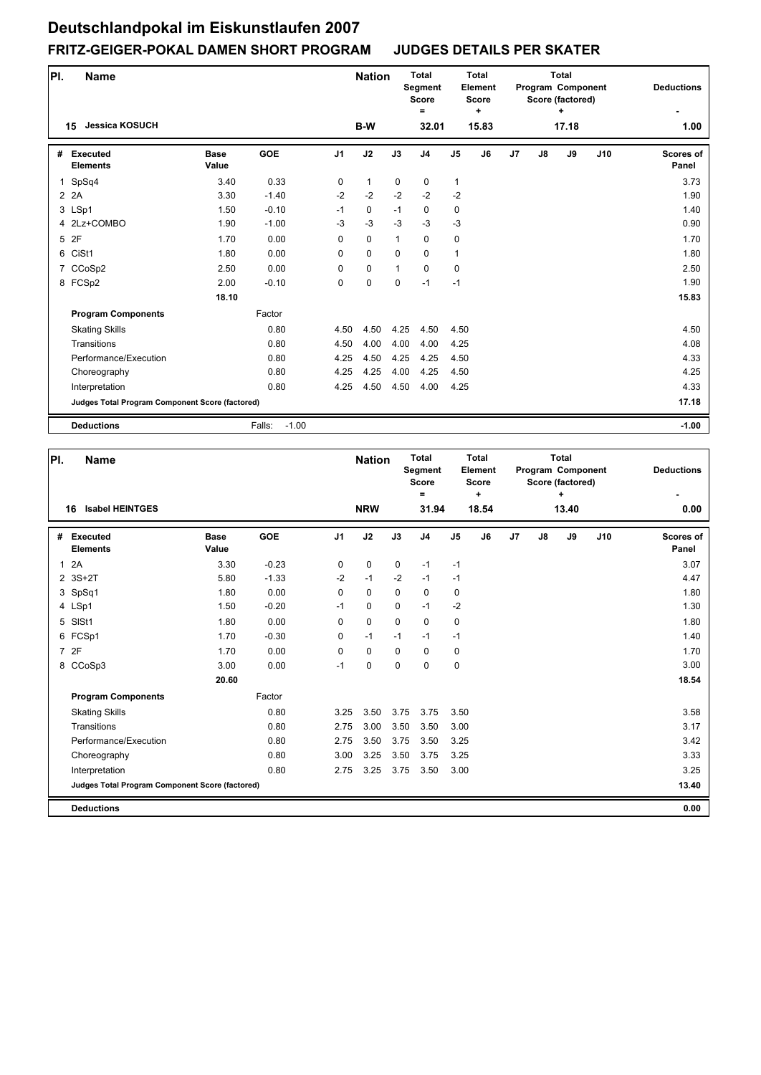| PI.         | <b>Name</b>                                     |                      |                   |                | <b>Nation</b> |             | <b>Total</b><br>Segment<br><b>Score</b><br>= |                | <b>Total</b><br>Element<br><b>Score</b><br>÷ |    |    | <b>Total</b><br>Program Component<br>Score (factored) |     | <b>Deductions</b>  |
|-------------|-------------------------------------------------|----------------------|-------------------|----------------|---------------|-------------|----------------------------------------------|----------------|----------------------------------------------|----|----|-------------------------------------------------------|-----|--------------------|
|             | <b>Jessica KOSUCH</b><br>15                     |                      |                   |                | B-W           |             | 32.01                                        |                | 15.83                                        |    |    | 17.18                                                 |     | 1.00               |
| #           | Executed<br><b>Elements</b>                     | <b>Base</b><br>Value | <b>GOE</b>        | J <sub>1</sub> | J2            | J3          | J <sub>4</sub>                               | J <sub>5</sub> | J6                                           | J7 | J8 | J9                                                    | J10 | Scores of<br>Panel |
| $\mathbf 1$ | SpSq4                                           | 3.40                 | 0.33              | 0              | $\mathbf{1}$  | 0           | 0                                            | 1              |                                              |    |    |                                                       |     | 3.73               |
|             | 2 2 A                                           | 3.30                 | $-1.40$           | $-2$           | $-2$          | $-2$        | $-2$                                         | $-2$           |                                              |    |    |                                                       |     | 1.90               |
|             | 3 LSp1                                          | 1.50                 | $-0.10$           | $-1$           | $\mathbf 0$   | $-1$        | $\mathbf 0$                                  | 0              |                                              |    |    |                                                       |     | 1.40               |
|             | 4 2Lz+COMBO                                     | 1.90                 | $-1.00$           | $-3$           | $-3$          | $-3$        | $-3$                                         | $-3$           |                                              |    |    |                                                       |     | 0.90               |
|             | 5 2F                                            | 1.70                 | 0.00              | 0              | $\mathbf 0$   | 1           | $\mathbf 0$                                  | $\pmb{0}$      |                                              |    |    |                                                       |     | 1.70               |
| 6           | CiSt1                                           | 1.80                 | 0.00              | 0              | $\mathbf 0$   | $\Omega$    | $\mathbf 0$                                  | $\mathbf{1}$   |                                              |    |    |                                                       |     | 1.80               |
|             | 7 CCoSp2                                        | 2.50                 | 0.00              | 0              | $\pmb{0}$     | 1           | $\mathbf 0$                                  | 0              |                                              |    |    |                                                       |     | 2.50               |
|             | 8 FCSp2                                         | 2.00                 | $-0.10$           | 0              | $\mathbf 0$   | $\mathbf 0$ | $-1$                                         | $-1$           |                                              |    |    |                                                       |     | 1.90               |
|             |                                                 | 18.10                |                   |                |               |             |                                              |                |                                              |    |    |                                                       |     | 15.83              |
|             | <b>Program Components</b>                       |                      | Factor            |                |               |             |                                              |                |                                              |    |    |                                                       |     |                    |
|             | <b>Skating Skills</b>                           |                      | 0.80              | 4.50           | 4.50          | 4.25        | 4.50                                         | 4.50           |                                              |    |    |                                                       |     | 4.50               |
|             | Transitions                                     |                      | 0.80              | 4.50           | 4.00          | 4.00        | 4.00                                         | 4.25           |                                              |    |    |                                                       |     | 4.08               |
|             | Performance/Execution                           |                      | 0.80              | 4.25           | 4.50          | 4.25        | 4.25                                         | 4.50           |                                              |    |    |                                                       |     | 4.33               |
|             | Choreography                                    |                      | 0.80              | 4.25           | 4.25          | 4.00        | 4.25                                         | 4.50           |                                              |    |    |                                                       |     | 4.25               |
|             | Interpretation                                  |                      | 0.80              | 4.25           | 4.50          | 4.50        | 4.00                                         | 4.25           |                                              |    |    |                                                       |     | 4.33               |
|             | Judges Total Program Component Score (factored) |                      |                   |                |               |             |                                              |                |                                              |    |    |                                                       |     | 17.18              |
|             | <b>Deductions</b>                               |                      | $-1.00$<br>Falls: |                |               |             |                                              |                |                                              |    |    |                                                       |     | $-1.00$            |

| PI.          |                                    | <b>Name</b>                                     |                      |            |                | <b>Nation</b> |             | <b>Total</b><br><b>Segment</b><br>Score<br>= |                | <b>Total</b><br>Element<br><b>Score</b><br>÷ |                |    | <b>Total</b><br>Program Component<br>Score (factored)<br>٠ |     | <b>Deductions</b>         |
|--------------|------------------------------------|-------------------------------------------------|----------------------|------------|----------------|---------------|-------------|----------------------------------------------|----------------|----------------------------------------------|----------------|----|------------------------------------------------------------|-----|---------------------------|
|              | 16                                 | <b>Isabel HEINTGES</b>                          |                      |            |                | <b>NRW</b>    |             | 31.94                                        |                | 18.54                                        |                |    | 13.40                                                      |     | 0.00                      |
| #            | <b>Executed</b><br><b>Elements</b> |                                                 | <b>Base</b><br>Value | <b>GOE</b> | J <sub>1</sub> | J2            | J3          | J <sub>4</sub>                               | J <sub>5</sub> | J6                                           | J <sub>7</sub> | J8 | J9                                                         | J10 | <b>Scores of</b><br>Panel |
| $\mathbf{1}$ | 2A                                 |                                                 | 3.30                 | $-0.23$    | 0              | $\mathbf 0$   | $\mathbf 0$ | $-1$                                         | $-1$           |                                              |                |    |                                                            |     | 3.07                      |
|              | $2$ 3S+2T                          |                                                 | 5.80                 | $-1.33$    | $-2$           | $-1$          | $-2$        | $-1$                                         | $-1$           |                                              |                |    |                                                            |     | 4.47                      |
|              | 3 SpSq1                            |                                                 | 1.80                 | 0.00       | $\Omega$       | $\mathbf 0$   | $\Omega$    | 0                                            | 0              |                                              |                |    |                                                            |     | 1.80                      |
|              | 4 LSp1                             |                                                 | 1.50                 | $-0.20$    | $-1$           | $\mathbf 0$   | $\mathbf 0$ | $-1$                                         | $-2$           |                                              |                |    |                                                            |     | 1.30                      |
| 5            | SISt1                              |                                                 | 1.80                 | 0.00       | 0              | 0             | $\mathbf 0$ | $\mathbf 0$                                  | $\pmb{0}$      |                                              |                |    |                                                            |     | 1.80                      |
|              | 6 FCSp1                            |                                                 | 1.70                 | $-0.30$    | 0              | $-1$          | $-1$        | $-1$                                         | $-1$           |                                              |                |    |                                                            |     | 1.40                      |
|              | 7 2F                               |                                                 | 1.70                 | 0.00       | 0              | $\mathbf 0$   | $\Omega$    | $\Omega$                                     | 0              |                                              |                |    |                                                            |     | 1.70                      |
|              | 8 CCoSp3                           |                                                 | 3.00                 | 0.00       | $-1$           | $\pmb{0}$     | $\mathbf 0$ | $\mathbf 0$                                  | $\pmb{0}$      |                                              |                |    |                                                            |     | 3.00                      |
|              |                                    |                                                 | 20.60                |            |                |               |             |                                              |                |                                              |                |    |                                                            |     | 18.54                     |
|              |                                    | <b>Program Components</b>                       |                      | Factor     |                |               |             |                                              |                |                                              |                |    |                                                            |     |                           |
|              | <b>Skating Skills</b>              |                                                 |                      | 0.80       | 3.25           | 3.50          | 3.75        | 3.75                                         | 3.50           |                                              |                |    |                                                            |     | 3.58                      |
|              | Transitions                        |                                                 |                      | 0.80       | 2.75           | 3.00          | 3.50        | 3.50                                         | 3.00           |                                              |                |    |                                                            |     | 3.17                      |
|              |                                    | Performance/Execution                           |                      | 0.80       | 2.75           | 3.50          | 3.75        | 3.50                                         | 3.25           |                                              |                |    |                                                            |     | 3.42                      |
|              |                                    | Choreography                                    |                      | 0.80       | 3.00           | 3.25          | 3.50        | 3.75                                         | 3.25           |                                              |                |    |                                                            |     | 3.33                      |
|              | Interpretation                     |                                                 |                      | 0.80       | 2.75           | 3.25          | 3.75        | 3.50                                         | 3.00           |                                              |                |    |                                                            |     | 3.25                      |
|              |                                    | Judges Total Program Component Score (factored) |                      |            |                |               |             |                                              |                |                                              |                |    |                                                            |     | 13.40                     |
|              | <b>Deductions</b>                  |                                                 |                      |            |                |               |             |                                              |                |                                              |                |    |                                                            |     | 0.00                      |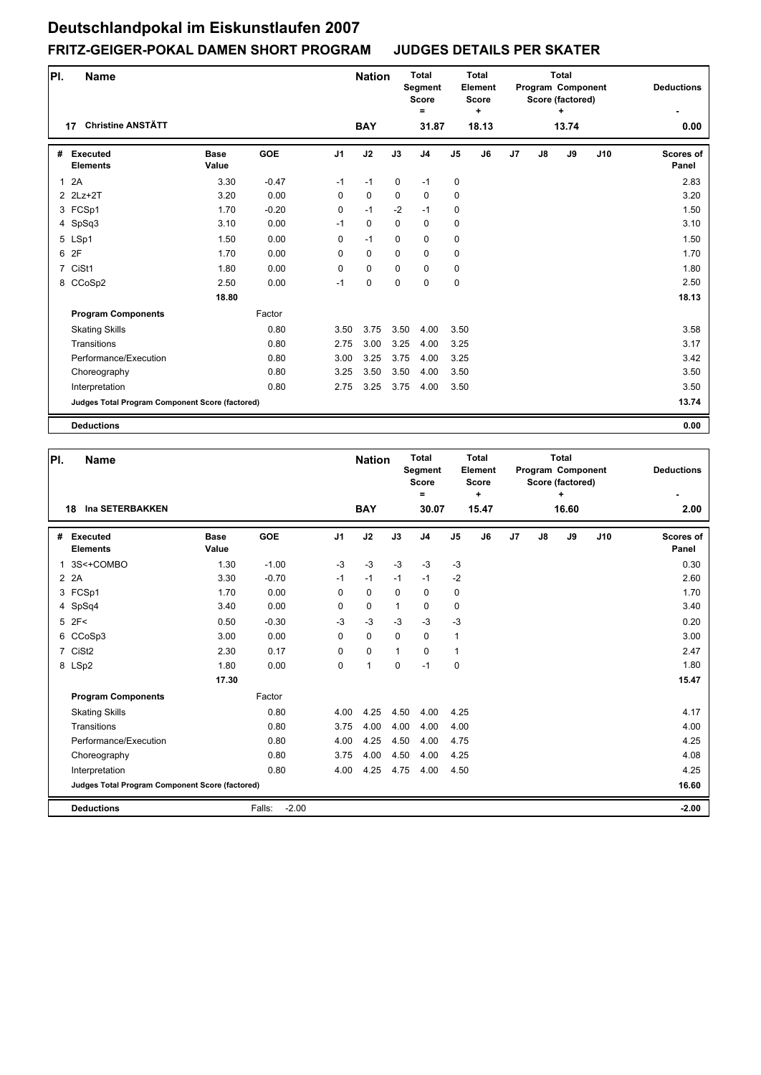| PI.            | <b>Name</b>                                     |                      |            |                | <b>Nation</b> |             | <b>Total</b><br>Segment<br><b>Score</b><br>Ξ |                | Total<br>Element<br><b>Score</b><br>$\ddot{}$ |    |               | <b>Total</b><br>Program Component<br>Score (factored)<br>÷ |     | <b>Deductions</b>  |
|----------------|-------------------------------------------------|----------------------|------------|----------------|---------------|-------------|----------------------------------------------|----------------|-----------------------------------------------|----|---------------|------------------------------------------------------------|-----|--------------------|
|                | <b>Christine ANSTÄTT</b><br>17                  |                      |            |                | <b>BAY</b>    |             | 31.87                                        |                | 18.13                                         |    |               | 13.74                                                      |     | 0.00               |
| #              | <b>Executed</b><br><b>Elements</b>              | <b>Base</b><br>Value | <b>GOE</b> | J <sub>1</sub> | J2            | J3          | J <sub>4</sub>                               | J <sub>5</sub> | J6                                            | J7 | $\mathsf{J}8$ | J9                                                         | J10 | Scores of<br>Panel |
| $\mathbf{1}$   | 2A                                              | 3.30                 | $-0.47$    | $-1$           | $-1$          | $\mathbf 0$ | $-1$                                         | 0              |                                               |    |               |                                                            |     | 2.83               |
|                | 2 2Lz+2T                                        | 3.20                 | 0.00       | 0              | $\pmb{0}$     | 0           | $\mathbf 0$                                  | $\pmb{0}$      |                                               |    |               |                                                            |     | 3.20               |
|                | 3 FCSp1                                         | 1.70                 | $-0.20$    | 0              | $-1$          | $-2$        | $-1$                                         | 0              |                                               |    |               |                                                            |     | 1.50               |
|                | 4 SpSq3                                         | 3.10                 | 0.00       | $-1$           | $\mathbf 0$   | $\mathbf 0$ | $\mathbf 0$                                  | 0              |                                               |    |               |                                                            |     | 3.10               |
|                | 5 LSp1                                          | 1.50                 | 0.00       | 0              | $-1$          | $\mathbf 0$ | $\mathbf 0$                                  | 0              |                                               |    |               |                                                            |     | 1.50               |
|                | 6 2F                                            | 1.70                 | 0.00       | 0              | $\mathbf 0$   | $\mathbf 0$ | $\mathbf 0$                                  | 0              |                                               |    |               |                                                            |     | 1.70               |
| $\overline{7}$ | CiSt1                                           | 1.80                 | 0.00       | 0              | $\mathbf 0$   | $\mathbf 0$ | $\mathbf 0$                                  | 0              |                                               |    |               |                                                            |     | 1.80               |
|                | 8 CCoSp2                                        | 2.50                 | 0.00       | $-1$           | $\mathbf 0$   | $\mathbf 0$ | $\mathbf 0$                                  | 0              |                                               |    |               |                                                            |     | 2.50               |
|                |                                                 | 18.80                |            |                |               |             |                                              |                |                                               |    |               |                                                            |     | 18.13              |
|                | <b>Program Components</b>                       |                      | Factor     |                |               |             |                                              |                |                                               |    |               |                                                            |     |                    |
|                | <b>Skating Skills</b>                           |                      | 0.80       | 3.50           | 3.75          | 3.50        | 4.00                                         | 3.50           |                                               |    |               |                                                            |     | 3.58               |
|                | Transitions                                     |                      | 0.80       | 2.75           | 3.00          | 3.25        | 4.00                                         | 3.25           |                                               |    |               |                                                            |     | 3.17               |
|                | Performance/Execution                           |                      | 0.80       | 3.00           | 3.25          | 3.75        | 4.00                                         | 3.25           |                                               |    |               |                                                            |     | 3.42               |
|                | Choreography                                    |                      | 0.80       | 3.25           | 3.50          | 3.50        | 4.00                                         | 3.50           |                                               |    |               |                                                            |     | 3.50               |
|                | Interpretation                                  |                      | 0.80       | 2.75           | 3.25          | 3.75        | 4.00                                         | 3.50           |                                               |    |               |                                                            |     | 3.50               |
|                | Judges Total Program Component Score (factored) |                      |            |                |               |             |                                              |                |                                               |    |               |                                                            |     | 13.74              |
|                | <b>Deductions</b>                               |                      |            |                |               |             |                                              |                |                                               |    |               |                                                            |     | 0.00               |

| PI. | Name                                            |                      |                   |                | <b>Nation</b> |              | <b>Total</b><br><b>Segment</b><br><b>Score</b><br>$=$ |                | Total<br>Element<br><b>Score</b><br>٠ |    |               | <b>Total</b><br>Program Component<br>Score (factored)<br>÷ |     | <b>Deductions</b>  |
|-----|-------------------------------------------------|----------------------|-------------------|----------------|---------------|--------------|-------------------------------------------------------|----------------|---------------------------------------|----|---------------|------------------------------------------------------------|-----|--------------------|
|     | <b>Ina SETERBAKKEN</b><br>18                    |                      |                   |                | <b>BAY</b>    |              | 30.07                                                 |                | 15.47                                 |    |               | 16.60                                                      |     | 2.00               |
| #   | <b>Executed</b><br><b>Elements</b>              | <b>Base</b><br>Value | <b>GOE</b>        | J <sub>1</sub> | J2            | J3           | J <sub>4</sub>                                        | J <sub>5</sub> | J6                                    | J7 | $\mathsf{J}8$ | J9                                                         | J10 | Scores of<br>Panel |
| 1   | 3S<+COMBO                                       | 1.30                 | $-1.00$           | $-3$           | $-3$          | $-3$         | $-3$                                                  | $-3$           |                                       |    |               |                                                            |     | 0.30               |
|     | 2 2 A                                           | 3.30                 | $-0.70$           | $-1$           | $-1$          | $-1$         | $-1$                                                  | $-2$           |                                       |    |               |                                                            |     | 2.60               |
|     | 3 FCSp1                                         | 1.70                 | 0.00              | 0              | $\mathbf 0$   | $\Omega$     | $\Omega$                                              | 0              |                                       |    |               |                                                            |     | 1.70               |
|     | 4 SpSq4                                         | 3.40                 | 0.00              | 0              | 0             | $\mathbf{1}$ | $\mathbf 0$                                           | 0              |                                       |    |               |                                                            |     | 3.40               |
|     | $5$ 2F<                                         | 0.50                 | $-0.30$           | $-3$           | $-3$          | $-3$         | $-3$                                                  | $-3$           |                                       |    |               |                                                            |     | 0.20               |
|     | 6 CCoSp3                                        | 3.00                 | 0.00              | 0              | $\mathbf 0$   | $\mathbf 0$  | $\mathbf 0$                                           | $\mathbf{1}$   |                                       |    |               |                                                            |     | 3.00               |
|     | 7 CiSt2                                         | 2.30                 | 0.17              | $\Omega$       | $\mathbf 0$   | $\mathbf{1}$ | $\Omega$                                              | $\mathbf{1}$   |                                       |    |               |                                                            |     | 2.47               |
|     | 8 LSp2                                          | 1.80                 | 0.00              | 0              | $\mathbf{1}$  | $\mathbf 0$  | $-1$                                                  | $\mathbf 0$    |                                       |    |               |                                                            |     | 1.80               |
|     |                                                 | 17.30                |                   |                |               |              |                                                       |                |                                       |    |               |                                                            |     | 15.47              |
|     | <b>Program Components</b>                       |                      | Factor            |                |               |              |                                                       |                |                                       |    |               |                                                            |     |                    |
|     | <b>Skating Skills</b>                           |                      | 0.80              | 4.00           | 4.25          | 4.50         | 4.00                                                  | 4.25           |                                       |    |               |                                                            |     | 4.17               |
|     | Transitions                                     |                      | 0.80              | 3.75           | 4.00          | 4.00         | 4.00                                                  | 4.00           |                                       |    |               |                                                            |     | 4.00               |
|     | Performance/Execution                           |                      | 0.80              | 4.00           | 4.25          | 4.50         | 4.00                                                  | 4.75           |                                       |    |               |                                                            |     | 4.25               |
|     | Choreography                                    |                      | 0.80              | 3.75           | 4.00          | 4.50         | 4.00                                                  | 4.25           |                                       |    |               |                                                            |     | 4.08               |
|     | Interpretation                                  |                      | 0.80              | 4.00           | 4.25          | 4.75         | 4.00                                                  | 4.50           |                                       |    |               |                                                            |     | 4.25               |
|     | Judges Total Program Component Score (factored) |                      |                   |                |               |              |                                                       |                |                                       |    |               |                                                            |     | 16.60              |
|     | <b>Deductions</b>                               |                      | $-2.00$<br>Falls: |                |               |              |                                                       |                |                                       |    |               |                                                            |     | $-2.00$            |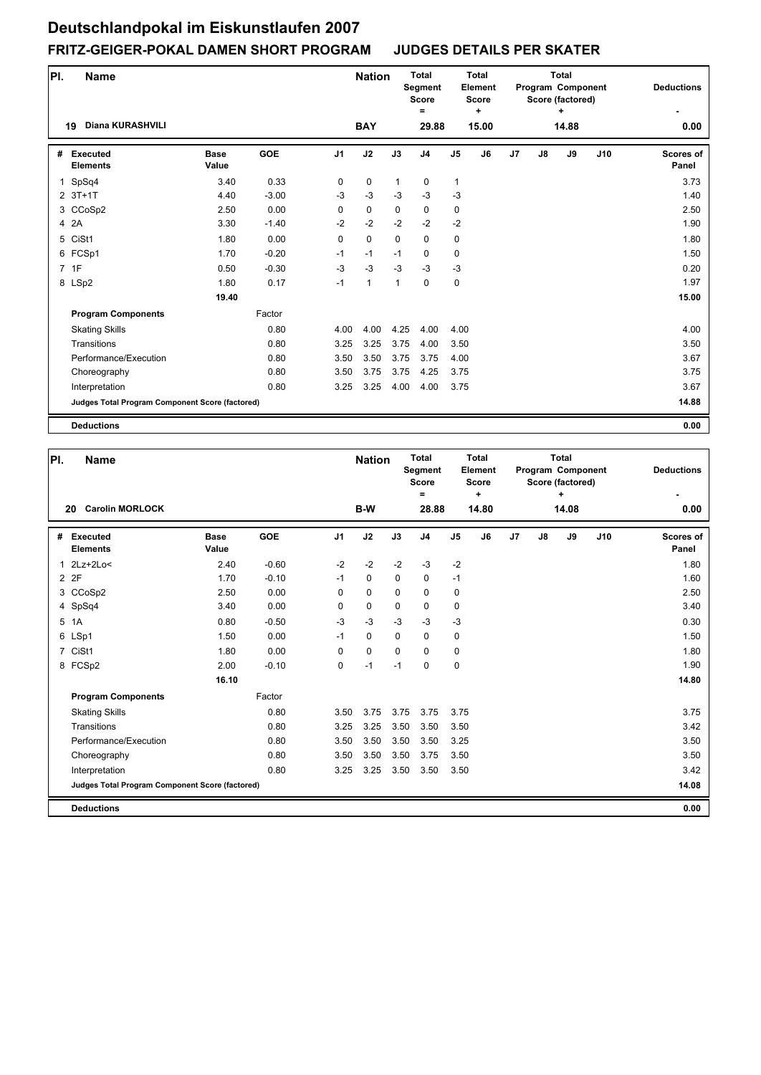| PI. | <b>Name</b>                                     |                      |            |                | <b>Nation</b> |              | <b>Total</b><br>Segment<br><b>Score</b><br>Ξ |                | <b>Total</b><br>Element<br><b>Score</b><br>٠ |    |    | <b>Total</b><br>Program Component<br>Score (factored)<br>+ |     | <b>Deductions</b>         |
|-----|-------------------------------------------------|----------------------|------------|----------------|---------------|--------------|----------------------------------------------|----------------|----------------------------------------------|----|----|------------------------------------------------------------|-----|---------------------------|
|     | <b>Diana KURASHVILI</b><br>19                   |                      |            |                | <b>BAY</b>    |              | 29.88                                        |                | 15.00                                        |    |    | 14.88                                                      |     | 0.00                      |
| #   | <b>Executed</b><br><b>Elements</b>              | <b>Base</b><br>Value | <b>GOE</b> | J <sub>1</sub> | J2            | J3           | J <sub>4</sub>                               | J <sub>5</sub> | J6                                           | J7 | J8 | J9                                                         | J10 | <b>Scores of</b><br>Panel |
| 1   | SpSq4                                           | 3.40                 | 0.33       | 0              | $\mathbf 0$   | $\mathbf{1}$ | $\mathbf 0$                                  | $\mathbf{1}$   |                                              |    |    |                                                            |     | 3.73                      |
|     | $2$ 3T+1T                                       | 4.40                 | $-3.00$    | $-3$           | $-3$          | $-3$         | $-3$                                         | $-3$           |                                              |    |    |                                                            |     | 1.40                      |
|     | 3 CCoSp2                                        | 2.50                 | 0.00       | 0              | $\pmb{0}$     | 0            | $\mathbf 0$                                  | 0              |                                              |    |    |                                                            |     | 2.50                      |
|     | 4 2A                                            | 3.30                 | $-1.40$    | $-2$           | $-2$          | $-2$         | $-2$                                         | $-2$           |                                              |    |    |                                                            |     | 1.90                      |
| 5   | CiSt1                                           | 1.80                 | 0.00       | 0              | $\mathbf 0$   | $\mathbf 0$  | $\mathbf 0$                                  | 0              |                                              |    |    |                                                            |     | 1.80                      |
|     | 6 FCSp1                                         | 1.70                 | $-0.20$    | $-1$           | $-1$          | $-1$         | $\mathbf 0$                                  | 0              |                                              |    |    |                                                            |     | 1.50                      |
|     | 7 1F                                            | 0.50                 | $-0.30$    | $-3$           | $-3$          | $-3$         | $-3$                                         | $-3$           |                                              |    |    |                                                            |     | 0.20                      |
|     | 8 LSp2                                          | 1.80                 | 0.17       | $-1$           | 1             | $\mathbf{1}$ | $\mathbf 0$                                  | $\pmb{0}$      |                                              |    |    |                                                            |     | 1.97                      |
|     |                                                 | 19.40                |            |                |               |              |                                              |                |                                              |    |    |                                                            |     | 15.00                     |
|     | <b>Program Components</b>                       |                      | Factor     |                |               |              |                                              |                |                                              |    |    |                                                            |     |                           |
|     | <b>Skating Skills</b>                           |                      | 0.80       | 4.00           | 4.00          | 4.25         | 4.00                                         | 4.00           |                                              |    |    |                                                            |     | 4.00                      |
|     | Transitions                                     |                      | 0.80       | 3.25           | 3.25          | 3.75         | 4.00                                         | 3.50           |                                              |    |    |                                                            |     | 3.50                      |
|     | Performance/Execution                           |                      | 0.80       | 3.50           | 3.50          | 3.75         | 3.75                                         | 4.00           |                                              |    |    |                                                            |     | 3.67                      |
|     | Choreography                                    |                      | 0.80       | 3.50           | 3.75          | 3.75         | 4.25                                         | 3.75           |                                              |    |    |                                                            |     | 3.75                      |
|     | Interpretation                                  |                      | 0.80       | 3.25           | 3.25          | 4.00         | 4.00                                         | 3.75           |                                              |    |    |                                                            |     | 3.67                      |
|     | Judges Total Program Component Score (factored) |                      |            |                |               |              |                                              |                |                                              |    |    |                                                            |     | 14.88                     |
|     | <b>Deductions</b>                               |                      |            |                |               |              |                                              |                |                                              |    |    |                                                            |     | 0.00                      |

| PI. | <b>Name</b>                                     |                      |            |                | <b>Nation</b> |             | Total<br>Segment<br><b>Score</b><br>$\equiv$ |                | <b>Total</b><br>Element<br><b>Score</b><br>$\ddot{}$ |    |    | <b>Total</b><br>Program Component<br>Score (factored)<br>÷ |     | <b>Deductions</b>  |
|-----|-------------------------------------------------|----------------------|------------|----------------|---------------|-------------|----------------------------------------------|----------------|------------------------------------------------------|----|----|------------------------------------------------------------|-----|--------------------|
|     | <b>Carolin MORLOCK</b><br>20                    |                      |            |                | B-W           |             | 28.88                                        |                | 14.80                                                |    |    | 14.08                                                      |     | 0.00               |
| #   | Executed<br><b>Elements</b>                     | <b>Base</b><br>Value | <b>GOE</b> | J <sub>1</sub> | J2            | J3          | J4                                           | J <sub>5</sub> | J6                                                   | J7 | J8 | J9                                                         | J10 | Scores of<br>Panel |
| 1   | 2Lz+2Lo<                                        | 2.40                 | $-0.60$    | $-2$           | $-2$          | $-2$        | $-3$                                         | $-2$           |                                                      |    |    |                                                            |     | 1.80               |
|     | 2 2F                                            | 1.70                 | $-0.10$    | $-1$           | $\mathbf 0$   | $\mathbf 0$ | $\mathbf 0$                                  | $-1$           |                                                      |    |    |                                                            |     | 1.60               |
|     | 3 CCoSp2                                        | 2.50                 | 0.00       | 0              | $\mathbf 0$   | $\Omega$    | $\mathbf 0$                                  | $\mathbf 0$    |                                                      |    |    |                                                            |     | 2.50               |
|     | 4 SpSq4                                         | 3.40                 | 0.00       | 0              | $\mathbf 0$   | $\Omega$    | $\mathbf 0$                                  | 0              |                                                      |    |    |                                                            |     | 3.40               |
| 5   | 1A                                              | 0.80                 | $-0.50$    | $-3$           | $-3$          | $-3$        | $-3$                                         | $-3$           |                                                      |    |    |                                                            |     | 0.30               |
|     | 6 LSp1                                          | 1.50                 | 0.00       | $-1$           | $\mathbf 0$   | $\Omega$    | $\mathbf 0$                                  | 0              |                                                      |    |    |                                                            |     | 1.50               |
|     | 7 CiSt1                                         | 1.80                 | 0.00       | $\Omega$       | $\mathbf 0$   | $\Omega$    | $\Omega$                                     | 0              |                                                      |    |    |                                                            |     | 1.80               |
|     | 8 FCSp2                                         | 2.00                 | $-0.10$    | 0              | $-1$          | $-1$        | $\mathbf 0$                                  | 0              |                                                      |    |    |                                                            |     | 1.90               |
|     |                                                 | 16.10                |            |                |               |             |                                              |                |                                                      |    |    |                                                            |     | 14.80              |
|     | <b>Program Components</b>                       |                      | Factor     |                |               |             |                                              |                |                                                      |    |    |                                                            |     |                    |
|     | <b>Skating Skills</b>                           |                      | 0.80       | 3.50           | 3.75          | 3.75        | 3.75                                         | 3.75           |                                                      |    |    |                                                            |     | 3.75               |
|     | Transitions                                     |                      | 0.80       | 3.25           | 3.25          | 3.50        | 3.50                                         | 3.50           |                                                      |    |    |                                                            |     | 3.42               |
|     | Performance/Execution                           |                      | 0.80       | 3.50           | 3.50          | 3.50        | 3.50                                         | 3.25           |                                                      |    |    |                                                            |     | 3.50               |
|     | Choreography                                    |                      | 0.80       | 3.50           | 3.50          | 3.50        | 3.75                                         | 3.50           |                                                      |    |    |                                                            |     | 3.50               |
|     | Interpretation                                  |                      | 0.80       | 3.25           | 3.25          | 3.50        | 3.50                                         | 3.50           |                                                      |    |    |                                                            |     | 3.42               |
|     | Judges Total Program Component Score (factored) |                      |            |                |               |             |                                              |                |                                                      |    |    |                                                            |     | 14.08              |
|     | <b>Deductions</b>                               |                      |            |                |               |             |                                              |                |                                                      |    |    |                                                            |     | 0.00               |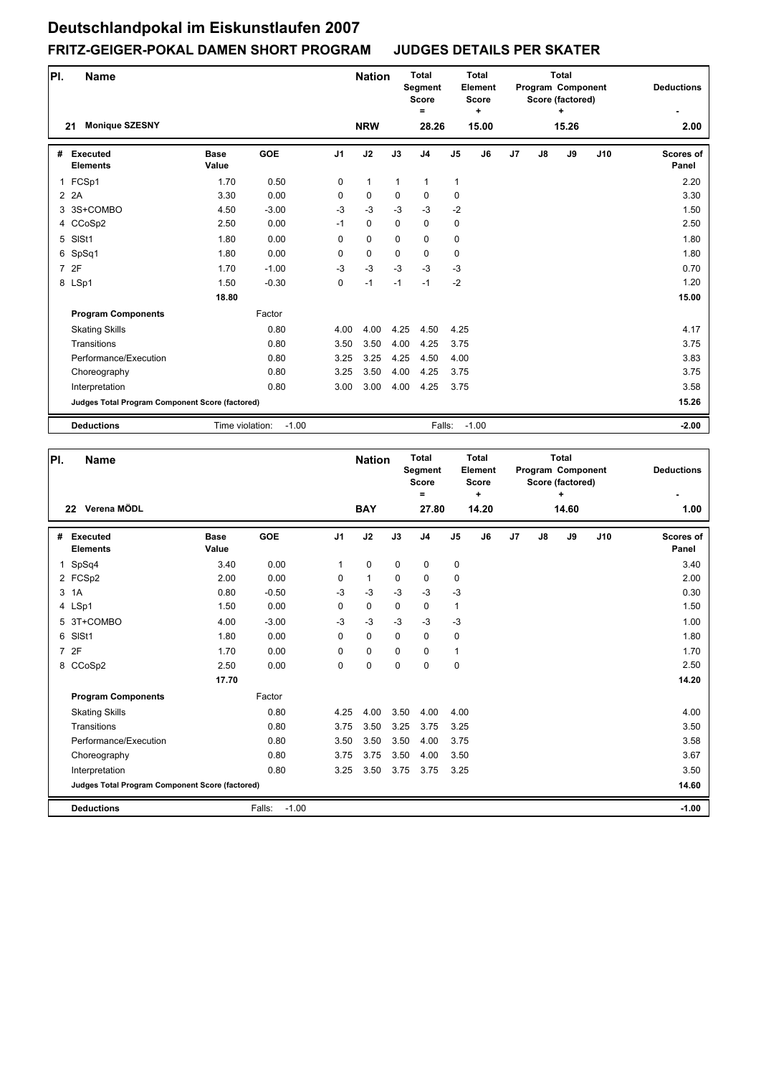| PI. | <b>Name</b>                                     |                      |            |                | <b>Nation</b> |              | <b>Total</b><br>Segment<br><b>Score</b><br>$\equiv$ |                | <b>Total</b><br>Element<br><b>Score</b><br>٠ |    |               | <b>Total</b><br>Program Component<br>Score (factored)<br>٠ |     | <b>Deductions</b>         |
|-----|-------------------------------------------------|----------------------|------------|----------------|---------------|--------------|-----------------------------------------------------|----------------|----------------------------------------------|----|---------------|------------------------------------------------------------|-----|---------------------------|
|     | <b>Monique SZESNY</b><br>21                     |                      |            |                | <b>NRW</b>    |              | 28.26                                               |                | 15.00                                        |    |               | 15.26                                                      |     | 2.00                      |
| #   | <b>Executed</b><br><b>Elements</b>              | <b>Base</b><br>Value | <b>GOE</b> | J <sub>1</sub> | J2            | J3           | J <sub>4</sub>                                      | J <sub>5</sub> | J6                                           | J7 | $\mathsf{J}8$ | J9                                                         | J10 | <b>Scores of</b><br>Panel |
| 1   | FCSp1                                           | 1.70                 | 0.50       | 0              | $\mathbf{1}$  | $\mathbf{1}$ | $\mathbf{1}$                                        | $\mathbf{1}$   |                                              |    |               |                                                            |     | 2.20                      |
|     | 2 2 A                                           | 3.30                 | 0.00       | $\Omega$       | 0             | $\Omega$     | $\mathbf 0$                                         | $\mathbf 0$    |                                              |    |               |                                                            |     | 3.30                      |
|     | 3 3S+COMBO                                      | 4.50                 | $-3.00$    | $-3$           | $-3$          | $-3$         | $-3$                                                | $-2$           |                                              |    |               |                                                            |     | 1.50                      |
|     | 4 CCoSp2                                        | 2.50                 | 0.00       | $-1$           | 0             | $\Omega$     | $\mathbf 0$                                         | 0              |                                              |    |               |                                                            |     | 2.50                      |
|     | 5 SISt1                                         | 1.80                 | 0.00       | $\Omega$       | 0             | $\Omega$     | $\mathbf 0$                                         | $\pmb{0}$      |                                              |    |               |                                                            |     | 1.80                      |
| 6   | SpSq1                                           | 1.80                 | 0.00       | 0              | 0             | $\Omega$     | $\mathbf 0$                                         | $\mathbf 0$    |                                              |    |               |                                                            |     | 1.80                      |
|     | 7 2F                                            | 1.70                 | $-1.00$    | $-3$           | $-3$          | $-3$         | $-3$                                                | $-3$           |                                              |    |               |                                                            |     | 0.70                      |
|     | 8 LSp1                                          | 1.50                 | $-0.30$    | 0              | $-1$          | $-1$         | $-1$                                                | $-2$           |                                              |    |               |                                                            |     | 1.20                      |
|     |                                                 | 18.80                |            |                |               |              |                                                     |                |                                              |    |               |                                                            |     | 15.00                     |
|     | <b>Program Components</b>                       |                      | Factor     |                |               |              |                                                     |                |                                              |    |               |                                                            |     |                           |
|     | <b>Skating Skills</b>                           |                      | 0.80       | 4.00           | 4.00          | 4.25         | 4.50                                                | 4.25           |                                              |    |               |                                                            |     | 4.17                      |
|     | Transitions                                     |                      | 0.80       | 3.50           | 3.50          | 4.00         | 4.25                                                | 3.75           |                                              |    |               |                                                            |     | 3.75                      |
|     | Performance/Execution                           |                      | 0.80       | 3.25           | 3.25          | 4.25         | 4.50                                                | 4.00           |                                              |    |               |                                                            |     | 3.83                      |
|     | Choreography                                    |                      | 0.80       | 3.25           | 3.50          | 4.00         | 4.25                                                | 3.75           |                                              |    |               |                                                            |     | 3.75                      |
|     | Interpretation                                  |                      | 0.80       | 3.00           | 3.00          | 4.00         | 4.25                                                | 3.75           |                                              |    |               |                                                            |     | 3.58                      |
|     | Judges Total Program Component Score (factored) |                      |            |                |               |              |                                                     |                |                                              |    |               |                                                            |     | 15.26                     |
|     | <b>Deductions</b>                               | Time violation:      | $-1.00$    |                |               |              | Falls:                                              |                | $-1.00$                                      |    |               |                                                            |     | $-2.00$                   |

| PI.            | <b>Name</b>                                     |                      |                   |                | <b>Nation</b> |             | <b>Total</b><br>Segment<br><b>Score</b><br>$\equiv$ |                | <b>Total</b><br>Element<br><b>Score</b><br>٠ |    |               | <b>Total</b><br>Program Component<br>Score (factored)<br>÷ |     | <b>Deductions</b>         |
|----------------|-------------------------------------------------|----------------------|-------------------|----------------|---------------|-------------|-----------------------------------------------------|----------------|----------------------------------------------|----|---------------|------------------------------------------------------------|-----|---------------------------|
|                | Verena MÖDL<br>22                               |                      |                   |                | <b>BAY</b>    |             | 27.80                                               |                | 14.20                                        |    |               | 14.60                                                      |     | 1.00                      |
| #              | Executed<br><b>Elements</b>                     | <b>Base</b><br>Value | <b>GOE</b>        | J <sub>1</sub> | J2            | J3          | J <sub>4</sub>                                      | J <sub>5</sub> | J6                                           | J7 | $\mathsf{J}8$ | J9                                                         | J10 | <b>Scores of</b><br>Panel |
| $\mathbf 1$    | SpSq4                                           | 3.40                 | 0.00              | 1              | 0             | $\mathbf 0$ | $\mathbf 0$                                         | 0              |                                              |    |               |                                                            |     | 3.40                      |
|                | 2 FCSp2                                         | 2.00                 | 0.00              | $\Omega$       | $\mathbf{1}$  | $\Omega$    | $\mathbf 0$                                         | 0              |                                              |    |               |                                                            |     | 2.00                      |
| 3              | 1A                                              | 0.80                 | $-0.50$           | $-3$           | $-3$          | $-3$        | $-3$                                                | $-3$           |                                              |    |               |                                                            |     | 0.30                      |
|                | 4 LSp1                                          | 1.50                 | 0.00              | 0              | $\mathbf 0$   | $\mathbf 0$ | $\mathbf 0$                                         | $\mathbf{1}$   |                                              |    |               |                                                            |     | 1.50                      |
| 5              | 3T+COMBO                                        | 4.00                 | $-3.00$           | $-3$           | $-3$          | $-3$        | $-3$                                                | $-3$           |                                              |    |               |                                                            |     | 1.00                      |
| 6              | SISt1                                           | 1.80                 | 0.00              | 0              | $\mathbf 0$   | $\mathbf 0$ | $\mathbf 0$                                         | 0              |                                              |    |               |                                                            |     | 1.80                      |
| $\overline{7}$ | 2F                                              | 1.70                 | 0.00              | $\Omega$       | $\mathbf 0$   | $\mathbf 0$ | $\Omega$                                            | $\mathbf{1}$   |                                              |    |               |                                                            |     | 1.70                      |
|                | 8 CCoSp2                                        | 2.50                 | 0.00              | 0              | $\pmb{0}$     | $\mathbf 0$ | $\mathbf 0$                                         | 0              |                                              |    |               |                                                            |     | 2.50                      |
|                |                                                 | 17.70                |                   |                |               |             |                                                     |                |                                              |    |               |                                                            |     | 14.20                     |
|                | <b>Program Components</b>                       |                      | Factor            |                |               |             |                                                     |                |                                              |    |               |                                                            |     |                           |
|                | <b>Skating Skills</b>                           |                      | 0.80              | 4.25           | 4.00          | 3.50        | 4.00                                                | 4.00           |                                              |    |               |                                                            |     | 4.00                      |
|                | Transitions                                     |                      | 0.80              | 3.75           | 3.50          | 3.25        | 3.75                                                | 3.25           |                                              |    |               |                                                            |     | 3.50                      |
|                | Performance/Execution                           |                      | 0.80              | 3.50           | 3.50          | 3.50        | 4.00                                                | 3.75           |                                              |    |               |                                                            |     | 3.58                      |
|                | Choreography                                    |                      | 0.80              | 3.75           | 3.75          | 3.50        | 4.00                                                | 3.50           |                                              |    |               |                                                            |     | 3.67                      |
|                | Interpretation                                  |                      | 0.80              | 3.25           | 3.50          | 3.75        | 3.75                                                | 3.25           |                                              |    |               |                                                            |     | 3.50                      |
|                | Judges Total Program Component Score (factored) |                      |                   |                |               |             |                                                     |                |                                              |    |               |                                                            |     | 14.60                     |
|                | <b>Deductions</b>                               |                      | Falls:<br>$-1.00$ |                |               |             |                                                     |                |                                              |    |               |                                                            |     | $-1.00$                   |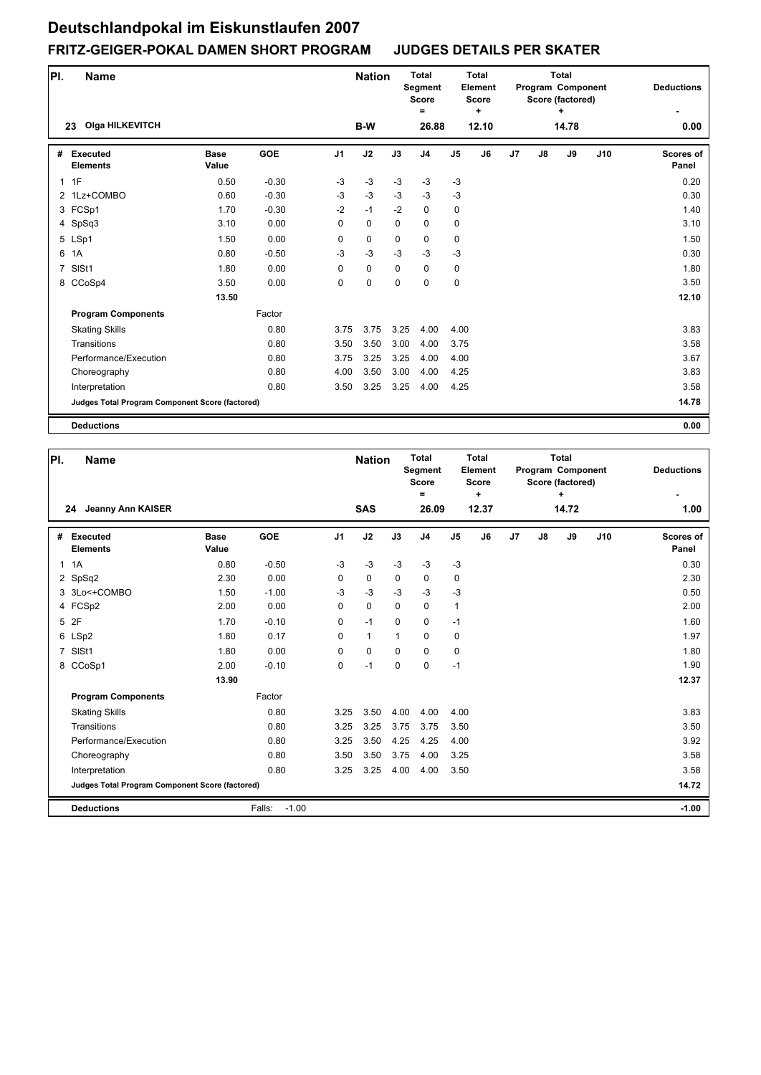#### **Pl. Name Deductions - Nation Total Segment Score = Total Element Score + Total Program Component Score (factored) + Olga HILKEVITCH B-W 26.88 12.10 0.00 23 14.78 # Executed Elements Base Value GOE J1 J2 J3 J4 J5 J6 J7 J8 J9 J10 Scores of Panel** 1 0.50 -0.30 -3 -3 -3 -3 -3 0.20 1F 2 1Lz+COMBO 0.60 -0.30 -3 -3 -3 -3 -3 0.30 3 FCSp1 1.70 -0.30 -2 -1 -2 0 0 1.40 4 SpSq3 3.10 0.00 0 0 0 0 0 3.10 5 LSp1 1.50 0.00 0 0 0 0 0 1.50 6 1A 0.80 -0.50 -3 -3 -3 -3 -3 0.30 7 SlSt1 1.80 0.00 0 0 0 0 0 1.80 8 CCoSp4 3.50 0.00 0 0 0 0 0 3.50  **13.50** 12.10 **Program Components**  Skating Skills **Transitions** Performance/Execution 3.75 3.75 3.50 3.75 3.75 3.25 4.00 4.00 3.50 3.00 4.00 3.75 3.25 3.25 4.00 4.00 Factor 0.80 0.80 0.80 3.83 3.58 3.67 Choreography 0.80 4.00 3.50 3.00 4.00 4.25 3.83 Interpretation 0.80 3.50 3.25 3.25 4.00 4.25 3.58 **Judges Total Program Component Score (factored) 14.78 Deductions 0.00**

| PI.            | <b>Name</b>                                     |                      |                   |                | <b>Nation</b> |                | Total<br>Segment<br><b>Score</b><br>Ξ |               | Total<br>Element<br><b>Score</b><br>٠ |    |    | <b>Total</b><br>Program Component<br>Score (factored)<br>+ |     | <b>Deductions</b>         |
|----------------|-------------------------------------------------|----------------------|-------------------|----------------|---------------|----------------|---------------------------------------|---------------|---------------------------------------|----|----|------------------------------------------------------------|-----|---------------------------|
|                | <b>Jeanny Ann KAISER</b><br>24                  |                      |                   |                | <b>SAS</b>    |                | 26.09                                 |               | 12.37                                 |    |    | 14.72                                                      |     | 1.00                      |
| #              | <b>Executed</b><br><b>Elements</b>              | <b>Base</b><br>Value | <b>GOE</b>        | J <sub>1</sub> | J2            | J3             | J <sub>4</sub>                        | $\mathsf{J}5$ | J6                                    | J7 | J8 | J9                                                         | J10 | <b>Scores of</b><br>Panel |
| $\mathbf{1}$   | 1A                                              | 0.80                 | $-0.50$           | $-3$           | $-3$          | $-3$           | $-3$                                  | $-3$          |                                       |    |    |                                                            |     | 0.30                      |
|                | 2 SpSq2                                         | 2.30                 | 0.00              | $\Omega$       | $\Omega$      | $\Omega$       | $\mathbf 0$                           | 0             |                                       |    |    |                                                            |     | 2.30                      |
|                | 3 3Lo<+COMBO                                    | 1.50                 | $-1.00$           | $-3$           | $-3$          | $-3$           | $-3$                                  | $-3$          |                                       |    |    |                                                            |     | 0.50                      |
|                | 4 FCSp2                                         | 2.00                 | 0.00              | $\Omega$       | $\mathbf 0$   | $\Omega$       | $\mathbf 0$                           | $\mathbf{1}$  |                                       |    |    |                                                            |     | 2.00                      |
|                | 5 2F                                            | 1.70                 | $-0.10$           | $\Omega$       | $-1$          | $\Omega$       | $\mathbf 0$                           | $-1$          |                                       |    |    |                                                            |     | 1.60                      |
|                | 6 LSp2                                          | 1.80                 | 0.17              | $\Omega$       | $\mathbf{1}$  | $\overline{1}$ | $\Omega$                              | 0             |                                       |    |    |                                                            |     | 1.97                      |
| $\overline{7}$ | SISt1                                           | 1.80                 | 0.00              | $\Omega$       | $\mathbf 0$   | $\Omega$       | $\Omega$                              | 0             |                                       |    |    |                                                            |     | 1.80                      |
| 8              | CCoSp1                                          | 2.00                 | $-0.10$           | 0              | $-1$          | $\mathbf 0$    | $\mathbf 0$                           | $-1$          |                                       |    |    |                                                            |     | 1.90                      |
|                |                                                 | 13.90                |                   |                |               |                |                                       |               |                                       |    |    |                                                            |     | 12.37                     |
|                | <b>Program Components</b>                       |                      | Factor            |                |               |                |                                       |               |                                       |    |    |                                                            |     |                           |
|                | <b>Skating Skills</b>                           |                      | 0.80              | 3.25           | 3.50          | 4.00           | 4.00                                  | 4.00          |                                       |    |    |                                                            |     | 3.83                      |
|                | Transitions                                     |                      | 0.80              | 3.25           | 3.25          | 3.75           | 3.75                                  | 3.50          |                                       |    |    |                                                            |     | 3.50                      |
|                | Performance/Execution                           |                      | 0.80              | 3.25           | 3.50          | 4.25           | 4.25                                  | 4.00          |                                       |    |    |                                                            |     | 3.92                      |
|                | Choreography                                    |                      | 0.80              | 3.50           | 3.50          | 3.75           | 4.00                                  | 3.25          |                                       |    |    |                                                            |     | 3.58                      |
|                | Interpretation                                  |                      | 0.80              | 3.25           | 3.25          | 4.00           | 4.00                                  | 3.50          |                                       |    |    |                                                            |     | 3.58                      |
|                | Judges Total Program Component Score (factored) |                      |                   |                |               |                |                                       |               |                                       |    |    |                                                            |     | 14.72                     |
|                | <b>Deductions</b>                               |                      | $-1.00$<br>Falls: |                |               |                |                                       |               |                                       |    |    |                                                            |     | $-1.00$                   |